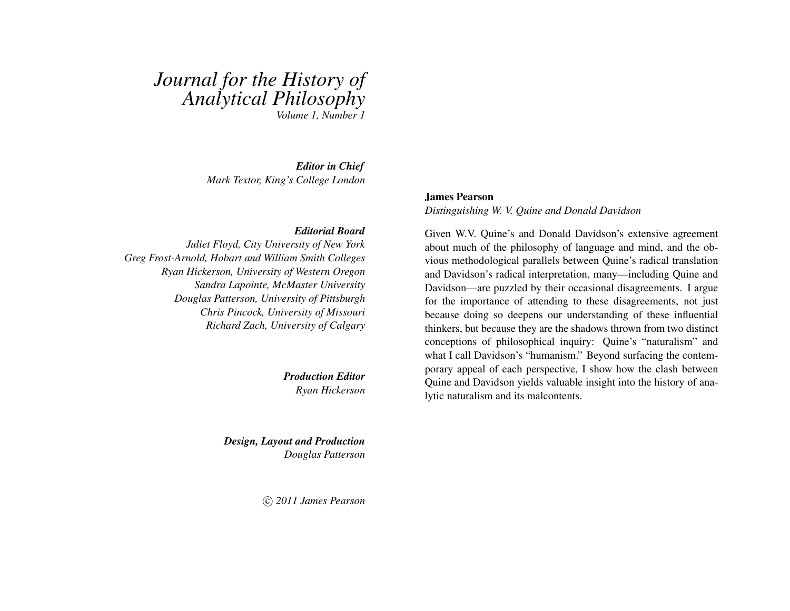# *Journal for the History of Analytical Philosophy Volume 1, Number 1*

*Editor in Chief Mark Textor, King's College London*

#### *Editorial Board*

*Juliet Floyd, City University of New York Greg Frost-Arnold, Hobart and William Smith Colleges Ryan Hickerson, University of Western Oregon Sandra Lapointe, McMaster University Douglas Patterson, University of Pittsburgh Chris Pincock, University of Missouri Richard Zach, University of Calgary*

> *Production Editor Ryan Hickerson*

*Design, Layout and Production Douglas Patterson*

c *2011 James Pearson*

#### James Pearson

*Distinguishing W. V. Quine and Donald Davidson*

Given W.V. Quine's and Donald Davidson's extensive agreement about much of the philosophy of language and mind, and the obvious methodological parallels between Quine's radical translation and Davidson's radical interpretation, many—including Quine and Davidson—are puzzled by their occasional disagreements. I argue for the importance of attending to these disagreements, not just because doing so deepens our understanding of these influential thinkers, but because they are the shadows thrown from two distinct conceptions of philosophical inquiry: Quine's "naturalism" and what I call Davidson's "humanism." Beyond surfacing the contemporary appeal of each perspective, I show how the clash between Quine and Davidson yields valuable insight into the history of analytic naturalism and its malcontents.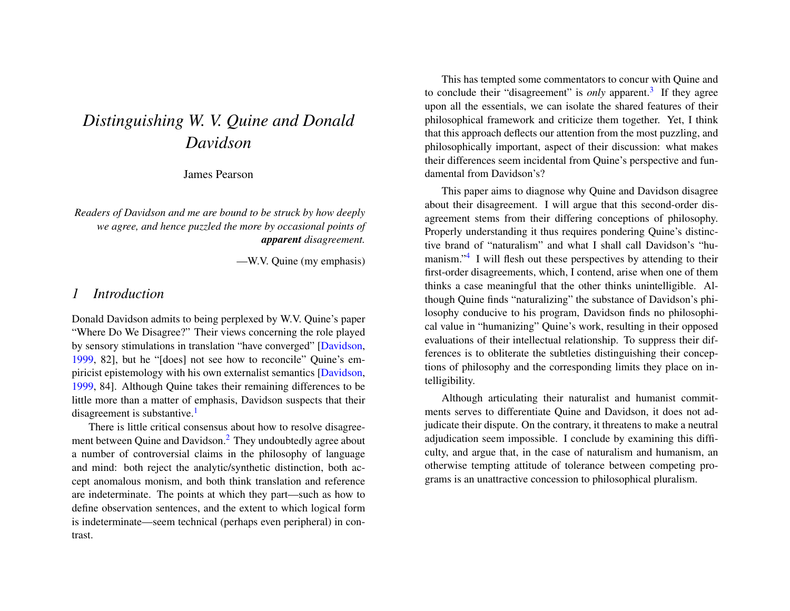# *Distinguishing W. V. Quine and Donald Davidson*

James Pearson

*Readers of Davidson and me are bound to be struck by how deeply we agree, and hence puzzled the more by occasional points of apparent disagreement.*

—W.V. Quine (my emphasis)

### *1 Introduction*

Donald Davidson admits to being perplexed by W.V. Quine's paper "Where Do We Disagree?" Their views concerning the role played by sensory stimulations in translation "have converged" [\[Davidson,](#page-20-0) [1999,](#page-20-0) 82], but he "[does] not see how to reconcile" Quine's empiricist epistemology with his own externalist semantics [\[Davidson,](#page-20-0) [1999,](#page-20-0) 84]. Although Quine takes their remaining differences to be little more than a matter of emphasis, Davidson suspects that their disagreement is substantive.<sup>[1](#page-14-0)</sup>

<span id="page-1-1"></span><span id="page-1-0"></span>There is little critical consensus about how to resolve disagreement between Quine and Davidson.[2](#page-14-1) They undoubtedly agree about a number of controversial claims in the philosophy of language and mind: both reject the analytic/synthetic distinction, both accept anomalous monism, and both think translation and reference are indeterminate. The points at which they part—such as how to define observation sentences, and the extent to which logical form is indeterminate—seem technical (perhaps even peripheral) in contrast.

<span id="page-1-2"></span>This has tempted some commentators to concur with Quine and to conclude their "disagreement" is *only* apparent.<sup>[3](#page-14-2)</sup> If they agree upon all the essentials, we can isolate the shared features of their philosophical framework and criticize them together. Yet, I think that this approach deflects our attention from the most puzzling, and philosophically important, aspect of their discussion: what makes their differences seem incidental from Quine's perspective and fundamental from Davidson's?

<span id="page-1-3"></span>This paper aims to diagnose why Quine and Davidson disagree about their disagreement. I will argue that this second-order disagreement stems from their differing conceptions of philosophy. Properly understanding it thus requires pondering Quine's distinctive brand of "naturalism" and what I shall call Davidson's "hu-manism."<sup>[4](#page-14-3)</sup> I will flesh out these perspectives by attending to their first-order disagreements, which, I contend, arise when one of them thinks a case meaningful that the other thinks unintelligible. Although Quine finds "naturalizing" the substance of Davidson's philosophy conducive to his program, Davidson finds no philosophical value in "humanizing" Quine's work, resulting in their opposed evaluations of their intellectual relationship. To suppress their differences is to obliterate the subtleties distinguishing their conceptions of philosophy and the corresponding limits they place on intelligibility.

Although articulating their naturalist and humanist commitments serves to differentiate Quine and Davidson, it does not adjudicate their dispute. On the contrary, it threatens to make a neutral adjudication seem impossible. I conclude by examining this difficulty, and argue that, in the case of naturalism and humanism, an otherwise tempting attitude of tolerance between competing programs is an unattractive concession to philosophical pluralism.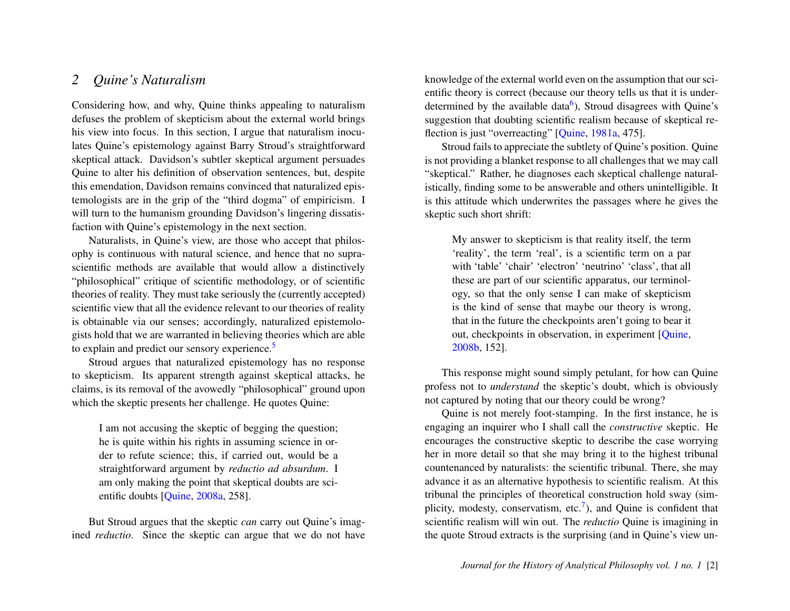## *2 Quine's Naturalism*

Considering how, and why, Quine thinks appealing to naturalism defuses the problem of skepticism about the external world brings his view into focus. In this section, I argue that naturalism inoculates Quine's epistemology against Barry Stroud's straightforward skeptical attack. Davidson's subtler skeptical argument persuades Quine to alter his definition of observation sentences, but, despite this emendation, Davidson remains convinced that naturalized epistemologists are in the grip of the "third dogma" of empiricism. I will turn to the humanism grounding Davidson's lingering dissatisfaction with Quine's epistemology in the next section.

Naturalists, in Quine's view, are those who accept that philosophy is continuous with natural science, and hence that no suprascientific methods are available that would allow a distinctively "philosophical" critique of scientific methodology, or of scientific theories of reality. They must take seriously the (currently accepted) scientific view that all the evidence relevant to our theories of reality is obtainable via our senses; accordingly, naturalized epistemologists hold that we are warranted in believing theories which are able to explain and predict our sensory experience.<sup>[5](#page-14-4)</sup>

Stroud argues that naturalized epistemology has no response to skepticism. Its apparent strength against skeptical attacks, he claims, is its removal of the avowedly "philosophical" ground upon which the skeptic presents her challenge. He quotes Quine:

I am not accusing the skeptic of begging the question; he is quite within his rights in assuming science in order to refute science; this, if carried out, would be a straightforward argument by *reductio ad absurdum*. I am only making the point that skeptical doubts are scientific doubts [\[Quine,](#page-21-0) [2008a,](#page-21-0) 258].

But Stroud argues that the skeptic *can* carry out Quine's imagined *reductio*. Since the skeptic can argue that we do not have <span id="page-2-1"></span>knowledge of the external world even on the assumption that our scientific theory is correct (because our theory tells us that it is under-determined by the available data<sup>[6](#page-14-5)</sup>), Stroud disagrees with Quine's suggestion that doubting scientific realism because of skeptical reflection is just "overreacting" [\[Quine,](#page-21-1) [1981a,](#page-21-1) 475].

Stroud fails to appreciate the subtlety of Quine's position. Quine is not providing a blanket response to all challenges that we may call "skeptical." Rather, he diagnoses each skeptical challenge naturalistically, finding some to be answerable and others unintelligible. It is this attitude which underwrites the passages where he gives the skeptic such short shrift:

My answer to skepticism is that reality itself, the term 'reality', the term 'real', is a scientific term on a par with 'table' 'chair' 'electron' 'neutrino' 'class', that all these are part of our scientific apparatus, our terminology, so that the only sense I can make of skepticism is the kind of sense that maybe our theory is wrong, that in the future the checkpoints aren't going to bear it out, checkpoints in observation, in experiment [\[Quine,](#page-21-2) [2008b,](#page-21-2) 152].

<span id="page-2-0"></span>This response might sound simply petulant, for how can Quine profess not to *understand* the skeptic's doubt, which is obviously not captured by noting that our theory could be wrong?

<span id="page-2-2"></span>Quine is not merely foot-stamping. In the first instance, he is engaging an inquirer who I shall call the *constructive* skeptic. He encourages the constructive skeptic to describe the case worrying her in more detail so that she may bring it to the highest tribunal countenanced by naturalists: the scientific tribunal. There, she may advance it as an alternative hypothesis to scientific realism. At this tribunal the principles of theoretical construction hold sway (sim-plicity, modesty, conservatism, etc.<sup>[7](#page-14-6)</sup>), and Quine is confident that scientific realism will win out. The *reductio* Quine is imagining in the quote Stroud extracts is the surprising (and in Quine's view un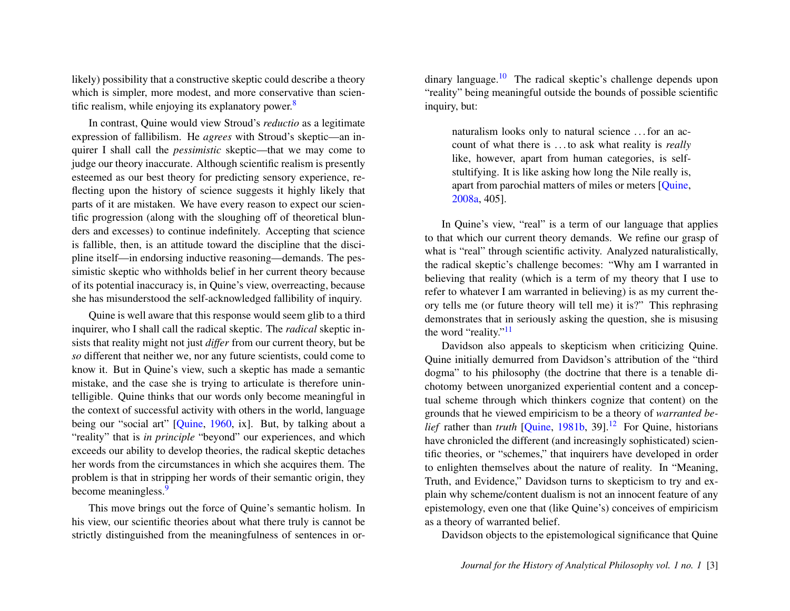likely) possibility that a constructive skeptic could describe a theory which is simpler, more modest, and more conservative than scientific realism, while enjoying its explanatory power. $8$ 

In contrast, Quine would view Stroud's *reductio* as a legitimate expression of fallibilism. He *agrees* with Stroud's skeptic—an inquirer I shall call the *pessimistic* skeptic—that we may come to judge our theory inaccurate. Although scientific realism is presently esteemed as our best theory for predicting sensory experience, reflecting upon the history of science suggests it highly likely that parts of it are mistaken. We have every reason to expect our scientific progression (along with the sloughing off of theoretical blunders and excesses) to continue indefinitely. Accepting that science is fallible, then, is an attitude toward the discipline that the discipline itself—in endorsing inductive reasoning—demands. The pessimistic skeptic who withholds belief in her current theory because of its potential inaccuracy is, in Quine's view, overreacting, because she has misunderstood the self-acknowledged fallibility of inquiry.

Quine is well aware that this response would seem glib to a third inquirer, who I shall call the radical skeptic. The *radical* skeptic insists that reality might not just *differ* from our current theory, but be *so* different that neither we, nor any future scientists, could come to know it. But in Quine's view, such a skeptic has made a semantic mistake, and the case she is trying to articulate is therefore unintelligible. Quine thinks that our words only become meaningful in the context of successful activity with others in the world, language being our "social art" [\[Quine,](#page-21-3) [1960,](#page-21-3) ix]. But, by talking about a "reality" that is *in principle* "beyond" our experiences, and which exceeds our ability to develop theories, the radical skeptic detaches her words from the circumstances in which she acquires them. The problem is that in stripping her words of their semantic origin, they become meaningless.<sup>[9](#page-14-8)</sup>

<span id="page-3-1"></span>This move brings out the force of Quine's semantic holism. In his view, our scientific theories about what there truly is cannot be strictly distinguished from the meaningfulness of sentences in or<span id="page-3-0"></span>dinary language.[10](#page-14-9) The radical skeptic's challenge depends upon "reality" being meaningful outside the bounds of possible scientific inquiry, but:

<span id="page-3-2"></span>naturalism looks only to natural science . . . for an account of what there is . . . to ask what reality is *really* like, however, apart from human categories, is selfstultifying. It is like asking how long the Nile really is, apart from parochial matters of miles or meters [\[Quine,](#page-21-0) [2008a,](#page-21-0) 405].

In Quine's view, "real" is a term of our language that applies to that which our current theory demands. We refine our grasp of what is "real" through scientific activity. Analyzed naturalistically, the radical skeptic's challenge becomes: "Why am I warranted in believing that reality (which is a term of my theory that I use to refer to whatever I am warranted in believing) is as my current theory tells me (or future theory will tell me) it is?" This rephrasing demonstrates that in seriously asking the question, she is misusing the word "reality."<sup>[11](#page-14-10)</sup>

<span id="page-3-4"></span><span id="page-3-3"></span>Davidson also appeals to skepticism when criticizing Quine. Quine initially demurred from Davidson's attribution of the "third dogma" to his philosophy (the doctrine that there is a tenable dichotomy between unorganized experiential content and a conceptual scheme through which thinkers cognize that content) on the grounds that he viewed empiricism to be a theory of *warranted belief* rather than *truth*  $[Quine, 1981b, 39]$  $[Quine, 1981b, 39]$  $[Quine, 1981b, 39]$  $[Quine, 1981b, 39]$ <sup>[12](#page-14-11)</sup> For Quine, historians have chronicled the different (and increasingly sophisticated) scientific theories, or "schemes," that inquirers have developed in order to enlighten themselves about the nature of reality. In "Meaning, Truth, and Evidence," Davidson turns to skepticism to try and explain why scheme/content dualism is not an innocent feature of any epistemology, even one that (like Quine's) conceives of empiricism as a theory of warranted belief.

Davidson objects to the epistemological significance that Quine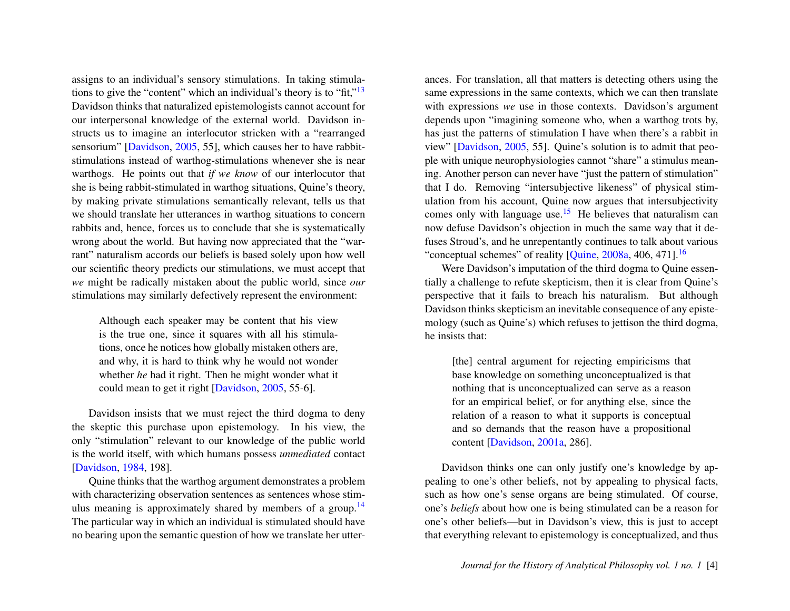assigns to an individual's sensory stimulations. In taking stimulations to give the "content" which an individual's theory is to "fit,"[13](#page-15-0) Davidson thinks that naturalized epistemologists cannot account for our interpersonal knowledge of the external world. Davidson instructs us to imagine an interlocutor stricken with a "rearranged sensorium" [\[Davidson,](#page-20-1) [2005,](#page-20-1) 55], which causes her to have rabbitstimulations instead of warthog-stimulations whenever she is near warthogs. He points out that *if we know* of our interlocutor that she is being rabbit-stimulated in warthog situations, Quine's theory, by making private stimulations semantically relevant, tells us that we should translate her utterances in warthog situations to concern rabbits and, hence, forces us to conclude that she is systematically wrong about the world. But having now appreciated that the "warrant" naturalism accords our beliefs is based solely upon how well our scientific theory predicts our stimulations, we must accept that *we* might be radically mistaken about the public world, since *our* stimulations may similarly defectively represent the environment:

Although each speaker may be content that his view is the true one, since it squares with all his stimulations, once he notices how globally mistaken others are, and why, it is hard to think why he would not wonder whether *he* had it right. Then he might wonder what it could mean to get it right [\[Davidson,](#page-20-1) [2005,](#page-20-1) 55-6].

Davidson insists that we must reject the third dogma to deny the skeptic this purchase upon epistemology. In his view, the only "stimulation" relevant to our knowledge of the public world is the world itself, with which humans possess *unmediated* contact [\[Davidson,](#page-20-2) [1984,](#page-20-2) 198].

Quine thinks that the warthog argument demonstrates a problem with characterizing observation sentences as sentences whose stim-ulus meaning is approximately shared by members of a group.<sup>[14](#page-15-1)</sup> The particular way in which an individual is stimulated should have no bearing upon the semantic question of how we translate her utter<span id="page-4-0"></span>ances. For translation, all that matters is detecting others using the same expressions in the same contexts, which we can then translate with expressions *we* use in those contexts. Davidson's argument depends upon "imagining someone who, when a warthog trots by, has just the patterns of stimulation I have when there's a rabbit in view" [\[Davidson,](#page-20-1) [2005,](#page-20-1) 55]. Quine's solution is to admit that people with unique neurophysiologies cannot "share" a stimulus meaning. Another person can never have "just the pattern of stimulation" that I do. Removing "intersubjective likeness" of physical stimulation from his account, Quine now argues that intersubjectivity comes only with language use.<sup>[15](#page-15-2)</sup> He believes that naturalism can now defuse Davidson's objection in much the same way that it defuses Stroud's, and he unrepentantly continues to talk about various "conceptual schemes" of reality [\[Quine,](#page-21-0) [2008a,](#page-21-0) 406, 471].[16](#page-15-3)

<span id="page-4-2"></span>Were Davidson's imputation of the third dogma to Quine essentially a challenge to refute skepticism, then it is clear from Quine's perspective that it fails to breach his naturalism. But although Davidson thinks skepticism an inevitable consequence of any epistemology (such as Quine's) which refuses to jettison the third dogma, he insists that:

<span id="page-4-3"></span>[the] central argument for rejecting empiricisms that base knowledge on something unconceptualized is that nothing that is unconceptualized can serve as a reason for an empirical belief, or for anything else, since the relation of a reason to what it supports is conceptual and so demands that the reason have a propositional content [\[Davidson,](#page-20-3) [2001a,](#page-20-3) 286].

<span id="page-4-1"></span>Davidson thinks one can only justify one's knowledge by appealing to one's other beliefs, not by appealing to physical facts, such as how one's sense organs are being stimulated. Of course, one's *beliefs* about how one is being stimulated can be a reason for one's other beliefs—but in Davidson's view, this is just to accept that everything relevant to epistemology is conceptualized, and thus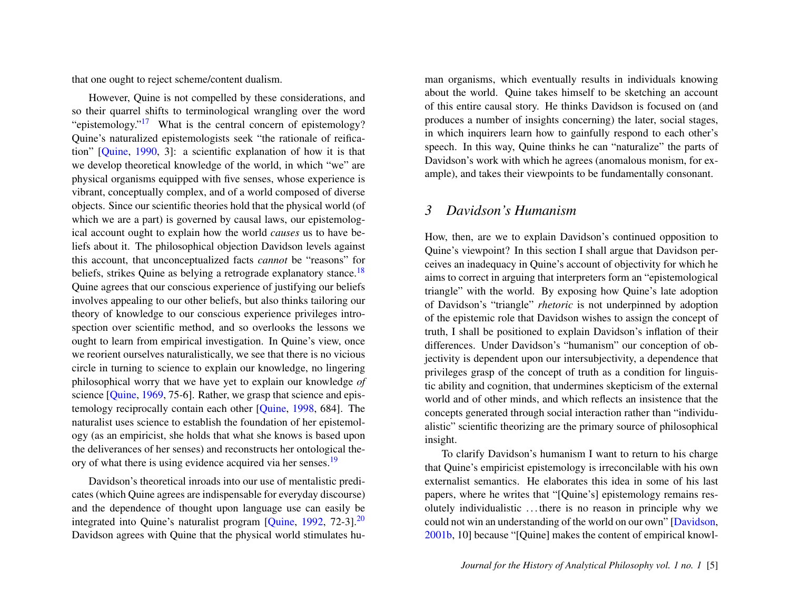that one ought to reject scheme/content dualism.

<span id="page-5-0"></span>However, Quine is not compelled by these considerations, and so their quarrel shifts to terminological wrangling over the word "epistemology."<sup>[17](#page-15-4)</sup> What is the central concern of epistemology? Quine's naturalized epistemologists seek "the rationale of reification" [\[Quine,](#page-21-5) [1990,](#page-21-5) 3]: a scientific explanation of how it is that we develop theoretical knowledge of the world, in which "we" are physical organisms equipped with five senses, whose experience is vibrant, conceptually complex, and of a world composed of diverse objects. Since our scientific theories hold that the physical world (of which we are a part) is governed by causal laws, our epistemological account ought to explain how the world *causes* us to have beliefs about it. The philosophical objection Davidson levels against this account, that unconceptualized facts *cannot* be "reasons" for beliefs, strikes Quine as belying a retrograde explanatory stance.<sup>[18](#page-15-5)</sup> Quine agrees that our conscious experience of justifying our beliefs involves appealing to our other beliefs, but also thinks tailoring our theory of knowledge to our conscious experience privileges introspection over scientific method, and so overlooks the lessons we ought to learn from empirical investigation. In Quine's view, once we reorient ourselves naturalistically, we see that there is no vicious circle in turning to science to explain our knowledge, no lingering philosophical worry that we have yet to explain our knowledge *of* science [\[Quine,](#page-21-6) [1969,](#page-21-6) 75-6]. Rather, we grasp that science and epistemology reciprocally contain each other [\[Quine,](#page-21-7) [1998,](#page-21-7) 684]. The naturalist uses science to establish the foundation of her epistemology (as an empiricist, she holds that what she knows is based upon the deliverances of her senses) and reconstructs her ontological the-ory of what there is using evidence acquired via her senses.<sup>[19](#page-15-6)</sup>

Davidson's theoretical inroads into our use of mentalistic predicates (which Quine agrees are indispensable for everyday discourse) and the dependence of thought upon language use can easily be integrated into Quine's naturalist program [\[Quine,](#page-21-8) [1992,](#page-21-8) 72-3].<sup>[20](#page-15-7)</sup> Davidson agrees with Quine that the physical world stimulates human organisms, which eventually results in individuals knowing about the world. Quine takes himself to be sketching an account of this entire causal story. He thinks Davidson is focused on (and produces a number of insights concerning) the later, social stages, in which inquirers learn how to gainfully respond to each other's speech. In this way, Quine thinks he can "naturalize" the parts of Davidson's work with which he agrees (anomalous monism, for example), and takes their viewpoints to be fundamentally consonant.

#### *3 Davidson's Humanism*

<span id="page-5-1"></span>How, then, are we to explain Davidson's continued opposition to Quine's viewpoint? In this section I shall argue that Davidson perceives an inadequacy in Quine's account of objectivity for which he aims to correct in arguing that interpreters form an "epistemological triangle" with the world. By exposing how Quine's late adoption of Davidson's "triangle" *rhetoric* is not underpinned by adoption of the epistemic role that Davidson wishes to assign the concept of truth, I shall be positioned to explain Davidson's inflation of their differences. Under Davidson's "humanism" our conception of objectivity is dependent upon our intersubjectivity, a dependence that privileges grasp of the concept of truth as a condition for linguistic ability and cognition, that undermines skepticism of the external world and of other minds, and which reflects an insistence that the concepts generated through social interaction rather than "individualistic" scientific theorizing are the primary source of philosophical insight.

<span id="page-5-3"></span><span id="page-5-2"></span>To clarify Davidson's humanism I want to return to his charge that Quine's empiricist epistemology is irreconcilable with his own externalist semantics. He elaborates this idea in some of his last papers, where he writes that "[Quine's] epistemology remains resolutely individualistic . . . there is no reason in principle why we could not win an understanding of the world on our own" [\[Davidson,](#page-20-4) [2001b,](#page-20-4) 10] because "[Quine] makes the content of empirical knowl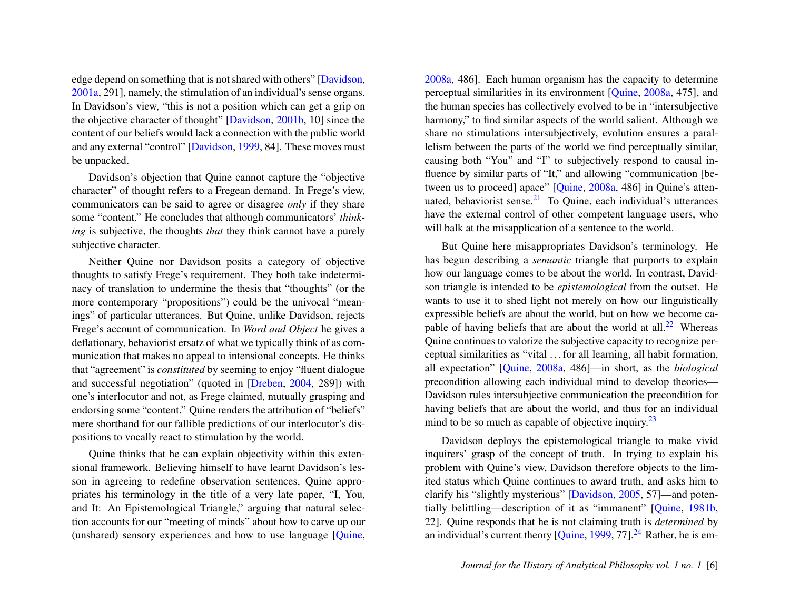edge depend on something that is not shared with others" [\[Davidson,](#page-20-3) [2001a,](#page-20-3) 291], namely, the stimulation of an individual's sense organs. In Davidson's view, "this is not a position which can get a grip on the objective character of thought" [\[Davidson,](#page-20-4) [2001b,](#page-20-4) 10] since the content of our beliefs would lack a connection with the public world and any external "control" [\[Davidson,](#page-20-0) [1999,](#page-20-0) 84]. These moves must be unpacked.

Davidson's objection that Quine cannot capture the "objective character" of thought refers to a Fregean demand. In Frege's view, communicators can be said to agree or disagree *only* if they share some "content." He concludes that although communicators' *thinking* is subjective, the thoughts *that* they think cannot have a purely subjective character.

Neither Quine nor Davidson posits a category of objective thoughts to satisfy Frege's requirement. They both take indeterminacy of translation to undermine the thesis that "thoughts" (or the more contemporary "propositions") could be the univocal "meanings" of particular utterances. But Quine, unlike Davidson, rejects Frege's account of communication. In *Word and Object* he gives a deflationary, behaviorist ersatz of what we typically think of as communication that makes no appeal to intensional concepts. He thinks that "agreement" is *constituted* by seeming to enjoy "fluent dialogue and successful negotiation" (quoted in [\[Dreben,](#page-20-5) [2004,](#page-20-5) 289]) with one's interlocutor and not, as Frege claimed, mutually grasping and endorsing some "content." Quine renders the attribution of "beliefs" mere shorthand for our fallible predictions of our interlocutor's dispositions to vocally react to stimulation by the world.

Quine thinks that he can explain objectivity within this extensional framework. Believing himself to have learnt Davidson's lesson in agreeing to redefine observation sentences, Quine appropriates his terminology in the title of a very late paper, "I, You, and It: An Epistemological Triangle," arguing that natural selection accounts for our "meeting of minds" about how to carve up our (unshared) sensory experiences and how to use language [\[Quine,](#page-21-0) [2008a,](#page-21-0) 486]. Each human organism has the capacity to determine perceptual similarities in its environment [\[Quine,](#page-21-0) [2008a,](#page-21-0) 475], and the human species has collectively evolved to be in "intersubjective harmony," to find similar aspects of the world salient. Although we share no stimulations intersubjectively, evolution ensures a parallelism between the parts of the world we find perceptually similar, causing both "You" and "I" to subjectively respond to causal influence by similar parts of "It," and allowing "communication [between us to proceed] apace" [\[Quine,](#page-21-0) [2008a,](#page-21-0) 486] in Quine's attenuated, behaviorist sense. $21$  To Quine, each individual's utterances have the external control of other competent language users, who will balk at the misapplication of a sentence to the world.

<span id="page-6-1"></span><span id="page-6-0"></span>But Quine here misappropriates Davidson's terminology. He has begun describing a *semantic* triangle that purports to explain how our language comes to be about the world. In contrast, Davidson triangle is intended to be *epistemological* from the outset. He wants to use it to shed light not merely on how our linguistically expressible beliefs are about the world, but on how we become ca-pable of having beliefs that are about the world at all.<sup>[22](#page-15-9)</sup> Whereas Quine continues to valorize the subjective capacity to recognize perceptual similarities as "vital . . . for all learning, all habit formation, all expectation" [\[Quine,](#page-21-0) [2008a,](#page-21-0) 486]—in short, as the *biological* precondition allowing each individual mind to develop theories— Davidson rules intersubjective communication the precondition for having beliefs that are about the world, and thus for an individual mind to be so much as capable of objective inquiry. $2<sup>3</sup>$ 

<span id="page-6-3"></span><span id="page-6-2"></span>Davidson deploys the epistemological triangle to make vivid inquirers' grasp of the concept of truth. In trying to explain his problem with Quine's view, Davidson therefore objects to the limited status which Quine continues to award truth, and asks him to clarify his "slightly mysterious" [\[Davidson,](#page-20-1) [2005,](#page-20-1) 57]—and potentially belittling—description of it as "immanent" [\[Quine,](#page-21-4) [1981b,](#page-21-4) 22]. Quine responds that he is not claiming truth is *determined* by an individual's current theory  $[Quine, 1999, 77]$  $[Quine, 1999, 77]$  $[Quine, 1999, 77]$  $[Quine, 1999, 77]$ .<sup>[24](#page-16-0)</sup> Rather, he is em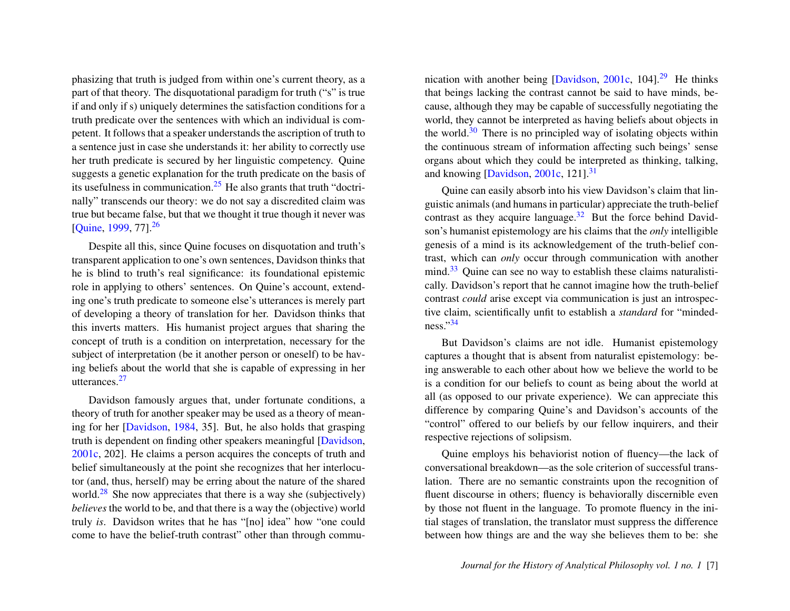phasizing that truth is judged from within one's current theory, as a part of that theory. The disquotational paradigm for truth ("s" is true if and only if s) uniquely determines the satisfaction conditions for a truth predicate over the sentences with which an individual is competent. It follows that a speaker understands the ascription of truth to a sentence just in case she understands it: her ability to correctly use her truth predicate is secured by her linguistic competency. Quine suggests a genetic explanation for the truth predicate on the basis of its usefulness in communication.[25](#page-16-1) He also grants that truth "doctrinally" transcends our theory: we do not say a discredited claim was true but became false, but that we thought it true though it never was [\[Quine,](#page-21-9) [1999,](#page-21-9) 77].<sup>[26](#page-16-2)</sup>

<span id="page-7-1"></span><span id="page-7-0"></span>Despite all this, since Quine focuses on disquotation and truth's transparent application to one's own sentences, Davidson thinks that he is blind to truth's real significance: its foundational epistemic role in applying to others' sentences. On Quine's account, extending one's truth predicate to someone else's utterances is merely part of developing a theory of translation for her. Davidson thinks that this inverts matters. His humanist project argues that sharing the concept of truth is a condition on interpretation, necessary for the subject of interpretation (be it another person or oneself) to be having beliefs about the world that she is capable of expressing in her utterances.[27](#page-16-3)

<span id="page-7-3"></span><span id="page-7-2"></span>Davidson famously argues that, under fortunate conditions, a theory of truth for another speaker may be used as a theory of meaning for her [\[Davidson,](#page-20-2) [1984,](#page-20-2) 35]. But, he also holds that grasping truth is dependent on finding other speakers meaningful [\[Davidson,](#page-20-6) [2001c,](#page-20-6) 202]. He claims a person acquires the concepts of truth and belief simultaneously at the point she recognizes that her interlocutor (and, thus, herself) may be erring about the nature of the shared world.<sup>[28](#page-16-4)</sup> She now appreciates that there is a way she (subjectively) *believes* the world to be, and that there is a way the (objective) world truly *is*. Davidson writes that he has "[no] idea" how "one could come to have the belief-truth contrast" other than through commu<span id="page-7-5"></span><span id="page-7-4"></span>nication with another being  $[Davidson, 2001c, 104]$  $[Davidson, 2001c, 104]$  $[Davidson, 2001c, 104]$  $[Davidson, 2001c, 104]$ <sup>[29](#page-16-5)</sup> He thinks that beings lacking the contrast cannot be said to have minds, because, although they may be capable of successfully negotiating the world, they cannot be interpreted as having beliefs about objects in the world. $30$  There is no principled way of isolating objects within the continuous stream of information affecting such beings' sense organs about which they could be interpreted as thinking, talking, and knowing [\[Davidson,](#page-20-6) [2001c,](#page-20-6) 121]. $^{31}$  $^{31}$  $^{31}$ 

<span id="page-7-8"></span><span id="page-7-7"></span><span id="page-7-6"></span>Quine can easily absorb into his view Davidson's claim that linguistic animals (and humans in particular) appreciate the truth-belief contrast as they acquire language. $32$  But the force behind Davidson's humanist epistemology are his claims that the *only* intelligible genesis of a mind is its acknowledgement of the truth-belief contrast, which can *only* occur through communication with another mind.<sup>[33](#page-17-2)</sup> Quine can see no way to establish these claims naturalistically. Davidson's report that he cannot imagine how the truth-belief contrast *could* arise except via communication is just an introspective claim, scientifically unfit to establish a *standard* for "mindedness."[34](#page-17-3)

<span id="page-7-9"></span>But Davidson's claims are not idle. Humanist epistemology captures a thought that is absent from naturalist epistemology: being answerable to each other about how we believe the world to be is a condition for our beliefs to count as being about the world at all (as opposed to our private experience). We can appreciate this difference by comparing Quine's and Davidson's accounts of the "control" offered to our beliefs by our fellow inquirers, and their respective rejections of solipsism.

Quine employs his behaviorist notion of fluency—the lack of conversational breakdown—as the sole criterion of successful translation. There are no semantic constraints upon the recognition of fluent discourse in others; fluency is behaviorally discernible even by those not fluent in the language. To promote fluency in the initial stages of translation, the translator must suppress the difference between how things are and the way she believes them to be: she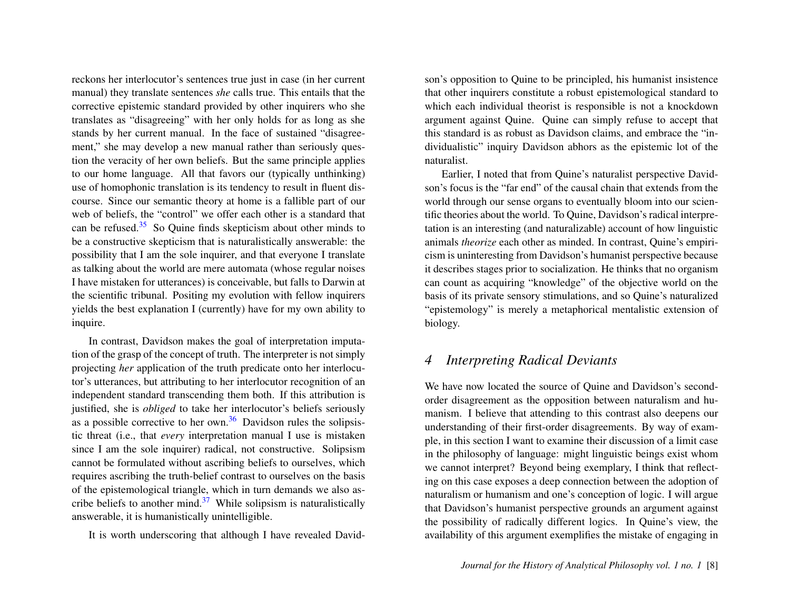reckons her interlocutor's sentences true just in case (in her current manual) they translate sentences *she* calls true. This entails that the corrective epistemic standard provided by other inquirers who she translates as "disagreeing" with her only holds for as long as she stands by her current manual. In the face of sustained "disagreement," she may develop a new manual rather than seriously question the veracity of her own beliefs. But the same principle applies to our home language. All that favors our (typically unthinking) use of homophonic translation is its tendency to result in fluent discourse. Since our semantic theory at home is a fallible part of our web of beliefs, the "control" we offer each other is a standard that can be refused. $35$  So Quine finds skepticism about other minds to be a constructive skepticism that is naturalistically answerable: the possibility that I am the sole inquirer, and that everyone I translate as talking about the world are mere automata (whose regular noises I have mistaken for utterances) is conceivable, but falls to Darwin at the scientific tribunal. Positing my evolution with fellow inquirers yields the best explanation I (currently) have for my own ability to inquire.

<span id="page-8-1"></span><span id="page-8-0"></span>In contrast, Davidson makes the goal of interpretation imputation of the grasp of the concept of truth. The interpreter is not simply projecting *her* application of the truth predicate onto her interlocutor's utterances, but attributing to her interlocutor recognition of an independent standard transcending them both. If this attribution is justified, she is *obliged* to take her interlocutor's beliefs seriously as a possible corrective to her own. $36$  Davidson rules the solipsistic threat (i.e., that *every* interpretation manual I use is mistaken since I am the sole inquirer) radical, not constructive. Solipsism cannot be formulated without ascribing beliefs to ourselves, which requires ascribing the truth-belief contrast to ourselves on the basis of the epistemological triangle, which in turn demands we also as-cribe beliefs to another mind.<sup>[37](#page-17-6)</sup> While solipsism is naturalistically answerable, it is humanistically unintelligible.

<span id="page-8-2"></span>It is worth underscoring that although I have revealed David-

son's opposition to Quine to be principled, his humanist insistence that other inquirers constitute a robust epistemological standard to which each individual theorist is responsible is not a knockdown argument against Quine. Quine can simply refuse to accept that this standard is as robust as Davidson claims, and embrace the "individualistic" inquiry Davidson abhors as the epistemic lot of the naturalist.

Earlier, I noted that from Quine's naturalist perspective Davidson's focus is the "far end" of the causal chain that extends from the world through our sense organs to eventually bloom into our scientific theories about the world. To Quine, Davidson's radical interpretation is an interesting (and naturalizable) account of how linguistic animals *theorize* each other as minded. In contrast, Quine's empiricism is uninteresting from Davidson's humanist perspective because it describes stages prior to socialization. He thinks that no organism can count as acquiring "knowledge" of the objective world on the basis of its private sensory stimulations, and so Quine's naturalized "epistemology" is merely a metaphorical mentalistic extension of biology.

# *4 Interpreting Radical Deviants*

We have now located the source of Quine and Davidson's secondorder disagreement as the opposition between naturalism and humanism. I believe that attending to this contrast also deepens our understanding of their first-order disagreements. By way of example, in this section I want to examine their discussion of a limit case in the philosophy of language: might linguistic beings exist whom we cannot interpret? Beyond being exemplary, I think that reflecting on this case exposes a deep connection between the adoption of naturalism or humanism and one's conception of logic. I will argue that Davidson's humanist perspective grounds an argument against the possibility of radically different logics. In Quine's view, the availability of this argument exemplifies the mistake of engaging in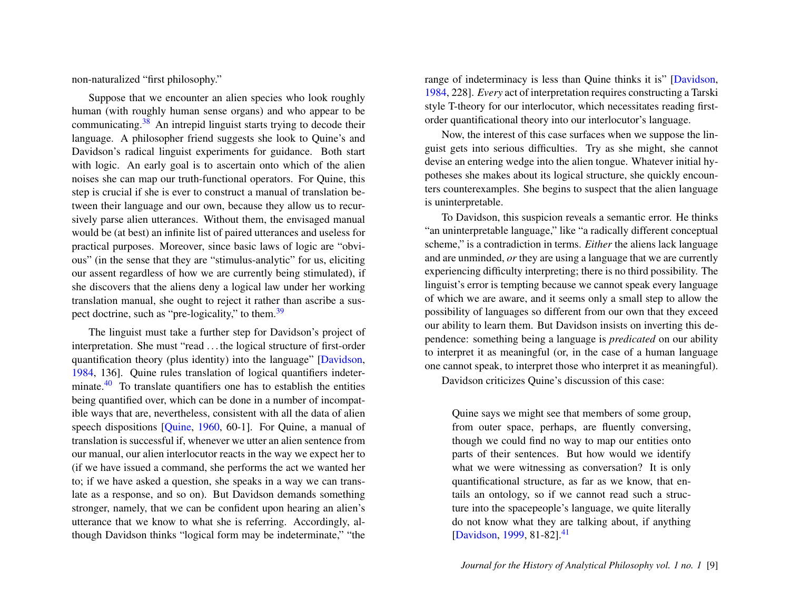non-naturalized "first philosophy."

<span id="page-9-0"></span>Suppose that we encounter an alien species who look roughly human (with roughly human sense organs) and who appear to be communicating.[38](#page-17-7) An intrepid linguist starts trying to decode their language. A philosopher friend suggests she look to Quine's and Davidson's radical linguist experiments for guidance. Both start with logic. An early goal is to ascertain onto which of the alien noises she can map our truth-functional operators. For Quine, this step is crucial if she is ever to construct a manual of translation between their language and our own, because they allow us to recursively parse alien utterances. Without them, the envisaged manual would be (at best) an infinite list of paired utterances and useless for practical purposes. Moreover, since basic laws of logic are "obvious" (in the sense that they are "stimulus-analytic" for us, eliciting our assent regardless of how we are currently being stimulated), if she discovers that the aliens deny a logical law under her working translation manual, she ought to reject it rather than ascribe a sus-pect doctrine, such as "pre-logicality," to them.<sup>[39](#page-17-8)</sup>

<span id="page-9-2"></span>The linguist must take a further step for Davidson's project of interpretation. She must "read . . . the logical structure of first-order quantification theory (plus identity) into the language" [\[Davidson,](#page-20-2) [1984,](#page-20-2) 136]. Quine rules translation of logical quantifiers indeter-minate.<sup>[40](#page-17-9)</sup> To translate quantifiers one has to establish the entities being quantified over, which can be done in a number of incompatible ways that are, nevertheless, consistent with all the data of alien speech dispositions [\[Quine,](#page-21-3) [1960,](#page-21-3) 60-1]. For Quine, a manual of translation is successful if, whenever we utter an alien sentence from our manual, our alien interlocutor reacts in the way we expect her to (if we have issued a command, she performs the act we wanted her to; if we have asked a question, she speaks in a way we can translate as a response, and so on). But Davidson demands something stronger, namely, that we can be confident upon hearing an alien's utterance that we know to what she is referring. Accordingly, although Davidson thinks "logical form may be indeterminate," "the

range of indeterminacy is less than Quine thinks it is" [\[Davidson,](#page-20-2) [1984,](#page-20-2) 228]. *Every* act of interpretation requires constructing a Tarski style T-theory for our interlocutor, which necessitates reading firstorder quantificational theory into our interlocutor's language.

Now, the interest of this case surfaces when we suppose the linguist gets into serious difficulties. Try as she might, she cannot devise an entering wedge into the alien tongue. Whatever initial hypotheses she makes about its logical structure, she quickly encounters counterexamples. She begins to suspect that the alien language is uninterpretable.

<span id="page-9-1"></span>To Davidson, this suspicion reveals a semantic error. He thinks "an uninterpretable language," like "a radically different conceptual scheme," is a contradiction in terms. *Either* the aliens lack language and are unminded, *or* they are using a language that we are currently experiencing difficulty interpreting; there is no third possibility. The linguist's error is tempting because we cannot speak every language of which we are aware, and it seems only a small step to allow the possibility of languages so different from our own that they exceed our ability to learn them. But Davidson insists on inverting this dependence: something being a language is *predicated* on our ability to interpret it as meaningful (or, in the case of a human language one cannot speak, to interpret those who interpret it as meaningful).

Davidson criticizes Quine's discussion of this case:

<span id="page-9-3"></span>Quine says we might see that members of some group, from outer space, perhaps, are fluently conversing, though we could find no way to map our entities onto parts of their sentences. But how would we identify what we were witnessing as conversation? It is only quantificational structure, as far as we know, that entails an ontology, so if we cannot read such a structure into the spacepeople's language, we quite literally do not know what they are talking about, if anything [\[Davidson,](#page-20-0) [1999,](#page-20-0) 81-82].<sup>[41](#page-18-0)</sup>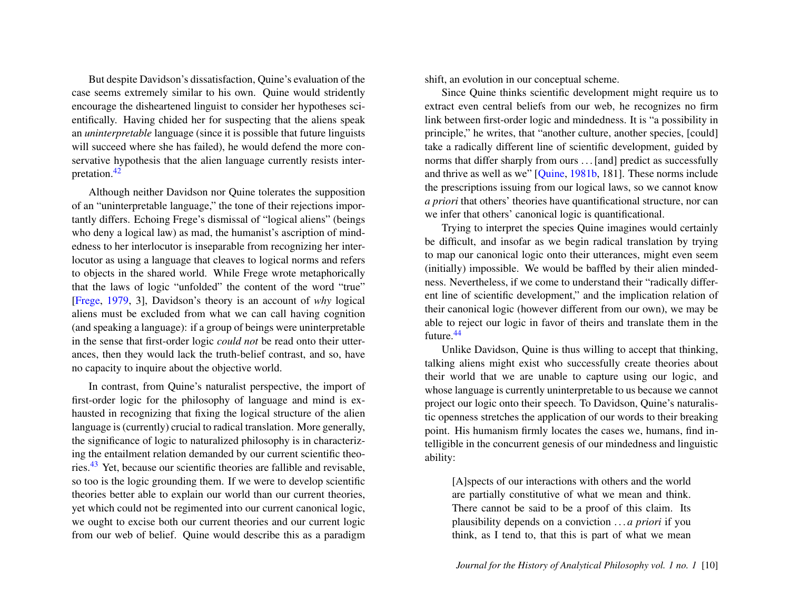But despite Davidson's dissatisfaction, Quine's evaluation of the case seems extremely similar to his own. Quine would stridently encourage the disheartened linguist to consider her hypotheses scientifically. Having chided her for suspecting that the aliens speak an *uninterpretable* language (since it is possible that future linguists will succeed where she has failed), he would defend the more conservative hypothesis that the alien language currently resists interpretation.[42](#page-18-1)

<span id="page-10-0"></span>Although neither Davidson nor Quine tolerates the supposition of an "uninterpretable language," the tone of their rejections importantly differs. Echoing Frege's dismissal of "logical aliens" (beings who deny a logical law) as mad, the humanist's ascription of mindedness to her interlocutor is inseparable from recognizing her interlocutor as using a language that cleaves to logical norms and refers to objects in the shared world. While Frege wrote metaphorically that the laws of logic "unfolded" the content of the word "true" [\[Frege,](#page-20-7) [1979,](#page-20-7) 3], Davidson's theory is an account of *why* logical aliens must be excluded from what we can call having cognition (and speaking a language): if a group of beings were uninterpretable in the sense that first-order logic *could not* be read onto their utterances, then they would lack the truth-belief contrast, and so, have no capacity to inquire about the objective world.

<span id="page-10-1"></span>In contrast, from Quine's naturalist perspective, the import of first-order logic for the philosophy of language and mind is exhausted in recognizing that fixing the logical structure of the alien language is (currently) crucial to radical translation. More generally, the significance of logic to naturalized philosophy is in characterizing the entailment relation demanded by our current scientific theories.[43](#page-18-2) Yet, because our scientific theories are fallible and revisable, so too is the logic grounding them. If we were to develop scientific theories better able to explain our world than our current theories, yet which could not be regimented into our current canonical logic, we ought to excise both our current theories and our current logic from our web of belief. Quine would describe this as a paradigm

shift, an evolution in our conceptual scheme.

Since Quine thinks scientific development might require us to extract even central beliefs from our web, he recognizes no firm link between first-order logic and mindedness. It is "a possibility in principle," he writes, that "another culture, another species, [could] take a radically different line of scientific development, guided by norms that differ sharply from ours ... [and] predict as successfully and thrive as well as we" [\[Quine,](#page-21-4) [1981b,](#page-21-4) 181]. These norms include the prescriptions issuing from our logical laws, so we cannot know *a priori* that others' theories have quantificational structure, nor can we infer that others' canonical logic is quantificational.

Trying to interpret the species Quine imagines would certainly be difficult, and insofar as we begin radical translation by trying to map our canonical logic onto their utterances, might even seem (initially) impossible. We would be baffled by their alien mindedness. Nevertheless, if we come to understand their "radically different line of scientific development," and the implication relation of their canonical logic (however different from our own), we may be able to reject our logic in favor of theirs and translate them in the future.[44](#page-18-3)

<span id="page-10-2"></span>Unlike Davidson, Quine is thus willing to accept that thinking, talking aliens might exist who successfully create theories about their world that we are unable to capture using our logic, and whose language is currently uninterpretable to us because we cannot project our logic onto their speech. To Davidson, Quine's naturalistic openness stretches the application of our words to their breaking point. His humanism firmly locates the cases we, humans, find intelligible in the concurrent genesis of our mindedness and linguistic ability:

[A]spects of our interactions with others and the world are partially constitutive of what we mean and think. There cannot be said to be a proof of this claim. Its plausibility depends on a conviction . . . *a priori* if you think, as I tend to, that this is part of what we mean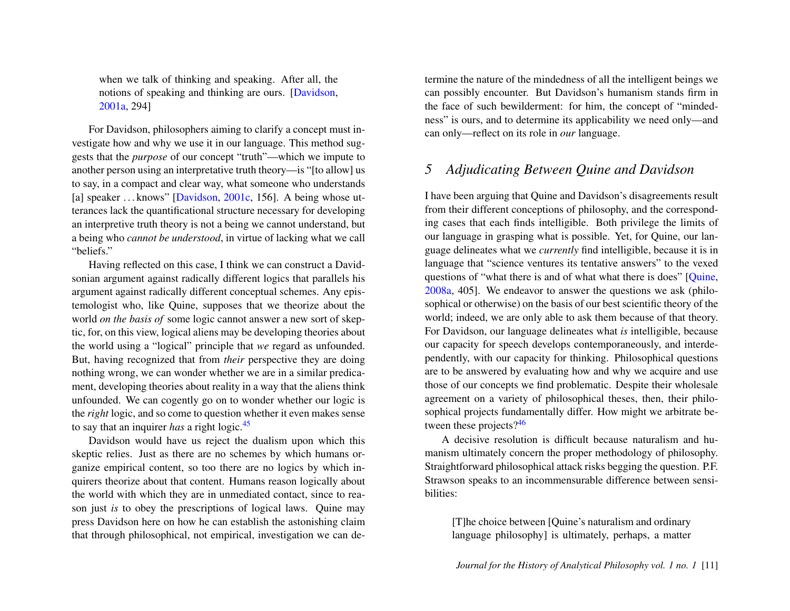when we talk of thinking and speaking. After all, the notions of speaking and thinking are ours. [\[Davidson,](#page-20-3) [2001a,](#page-20-3) 294]

For Davidson, philosophers aiming to clarify a concept must investigate how and why we use it in our language. This method suggests that the *purpose* of our concept "truth"—which we impute to another person using an interpretative truth theory—is "[to allow] us to say, in a compact and clear way, what someone who understands [a] speaker ... knows" [\[Davidson,](#page-20-6) [2001c,](#page-20-6) 156]. A being whose utterances lack the quantificational structure necessary for developing an interpretive truth theory is not a being we cannot understand, but a being who *cannot be understood*, in virtue of lacking what we call "beliefs."

Having reflected on this case, I think we can construct a Davidsonian argument against radically different logics that parallels his argument against radically different conceptual schemes. Any epistemologist who, like Quine, supposes that we theorize about the world *on the basis of* some logic cannot answer a new sort of skeptic, for, on this view, logical aliens may be developing theories about the world using a "logical" principle that *we* regard as unfounded. But, having recognized that from *their* perspective they are doing nothing wrong, we can wonder whether we are in a similar predicament, developing theories about reality in a way that the aliens think unfounded. We can cogently go on to wonder whether our logic is the *right* logic, and so come to question whether it even makes sense to say that an inquirer *has* a right logic.[45](#page-18-4)

<span id="page-11-0"></span>Davidson would have us reject the dualism upon which this skeptic relies. Just as there are no schemes by which humans organize empirical content, so too there are no logics by which inquirers theorize about that content. Humans reason logically about the world with which they are in unmediated contact, since to reason just *is* to obey the prescriptions of logical laws. Quine may press Davidson here on how he can establish the astonishing claim that through philosophical, not empirical, investigation we can de-

termine the nature of the mindedness of all the intelligent beings we can possibly encounter. But Davidson's humanism stands firm in the face of such bewilderment: for him, the concept of "mindedness" is ours, and to determine its applicability we need only—and can only—reflect on its role in *our* language.

# *5 Adjudicating Between Quine and Davidson*

I have been arguing that Quine and Davidson's disagreements result from their different conceptions of philosophy, and the corresponding cases that each finds intelligible. Both privilege the limits of our language in grasping what is possible. Yet, for Quine, our language delineates what we *currently* find intelligible, because it is in language that "science ventures its tentative answers" to the vexed questions of "what there is and of what what there is does" [\[Quine,](#page-21-0) [2008a,](#page-21-0) 405]. We endeavor to answer the questions we ask (philosophical or otherwise) on the basis of our best scientific theory of the world; indeed, we are only able to ask them because of that theory. For Davidson, our language delineates what *is* intelligible, because our capacity for speech develops contemporaneously, and interdependently, with our capacity for thinking. Philosophical questions are to be answered by evaluating how and why we acquire and use those of our concepts we find problematic. Despite their wholesale agreement on a variety of philosophical theses, then, their philosophical projects fundamentally differ. How might we arbitrate between these projects? $46$ 

<span id="page-11-1"></span>A decisive resolution is difficult because naturalism and humanism ultimately concern the proper methodology of philosophy. Straightforward philosophical attack risks begging the question. P.F. Strawson speaks to an incommensurable difference between sensibilities:

[T]he choice between [Quine's naturalism and ordinary language philosophy] is ultimately, perhaps, a matter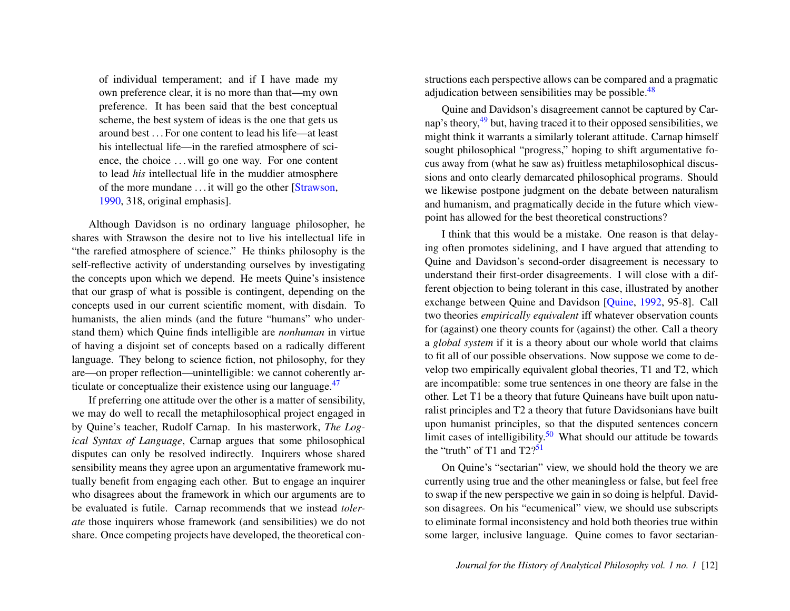of individual temperament; and if I have made my own preference clear, it is no more than that—my own preference. It has been said that the best conceptual scheme, the best system of ideas is the one that gets us around best . . . For one content to lead his life—at least his intellectual life—in the rarefied atmosphere of science, the choice ... will go one way. For one content to lead *his* intellectual life in the muddier atmosphere of the more mundane . . . it will go the other [\[Strawson,](#page-21-10) [1990,](#page-21-10) 318, original emphasis].

Although Davidson is no ordinary language philosopher, he shares with Strawson the desire not to live his intellectual life in "the rarefied atmosphere of science." He thinks philosophy is the self-reflective activity of understanding ourselves by investigating the concepts upon which we depend. He meets Quine's insistence that our grasp of what is possible is contingent, depending on the concepts used in our current scientific moment, with disdain. To humanists, the alien minds (and the future "humans" who understand them) which Quine finds intelligible are *nonhuman* in virtue of having a disjoint set of concepts based on a radically different language. They belong to science fiction, not philosophy, for they are—on proper reflection—unintelligible: we cannot coherently articulate or conceptualize their existence using our language. $47$ 

If preferring one attitude over the other is a matter of sensibility, we may do well to recall the metaphilosophical project engaged in by Quine's teacher, Rudolf Carnap. In his masterwork, *The Logical Syntax of Language*, Carnap argues that some philosophical disputes can only be resolved indirectly. Inquirers whose shared sensibility means they agree upon an argumentative framework mutually benefit from engaging each other. But to engage an inquirer who disagrees about the framework in which our arguments are to be evaluated is futile. Carnap recommends that we instead *tolerate* those inquirers whose framework (and sensibilities) we do not share. Once competing projects have developed, the theoretical con<span id="page-12-1"></span>structions each perspective allows can be compared and a pragmatic adjudication between sensibilities may be possible. $48$ 

<span id="page-12-2"></span>Quine and Davidson's disagreement cannot be captured by Carnap's theory,[49](#page-18-8) but, having traced it to their opposed sensibilities, we might think it warrants a similarly tolerant attitude. Carnap himself sought philosophical "progress," hoping to shift argumentative focus away from (what he saw as) fruitless metaphilosophical discussions and onto clearly demarcated philosophical programs. Should we likewise postpone judgment on the debate between naturalism and humanism, and pragmatically decide in the future which viewpoint has allowed for the best theoretical constructions?

I think that this would be a mistake. One reason is that delaying often promotes sidelining, and I have argued that attending to Quine and Davidson's second-order disagreement is necessary to understand their first-order disagreements. I will close with a different objection to being tolerant in this case, illustrated by another exchange between Quine and Davidson [\[Quine,](#page-21-8) [1992,](#page-21-8) 95-8]. Call two theories *empirically equivalent* iff whatever observation counts for (against) one theory counts for (against) the other. Call a theory a *global system* if it is a theory about our whole world that claims to fit all of our possible observations. Now suppose we come to develop two empirically equivalent global theories, T1 and T2, which are incompatible: some true sentences in one theory are false in the other. Let T1 be a theory that future Quineans have built upon naturalist principles and T2 a theory that future Davidsonians have built upon humanist principles, so that the disputed sentences concern limit cases of intelligibility.<sup>[50](#page-19-0)</sup> What should our attitude be towards the "truth" of T1 and  $T2$ ?<sup>[51](#page-19-1)</sup>

<span id="page-12-4"></span><span id="page-12-3"></span><span id="page-12-0"></span>On Quine's "sectarian" view, we should hold the theory we are currently using true and the other meaningless or false, but feel free to swap if the new perspective we gain in so doing is helpful. Davidson disagrees. On his "ecumenical" view, we should use subscripts to eliminate formal inconsistency and hold both theories true within some larger, inclusive language. Quine comes to favor sectarian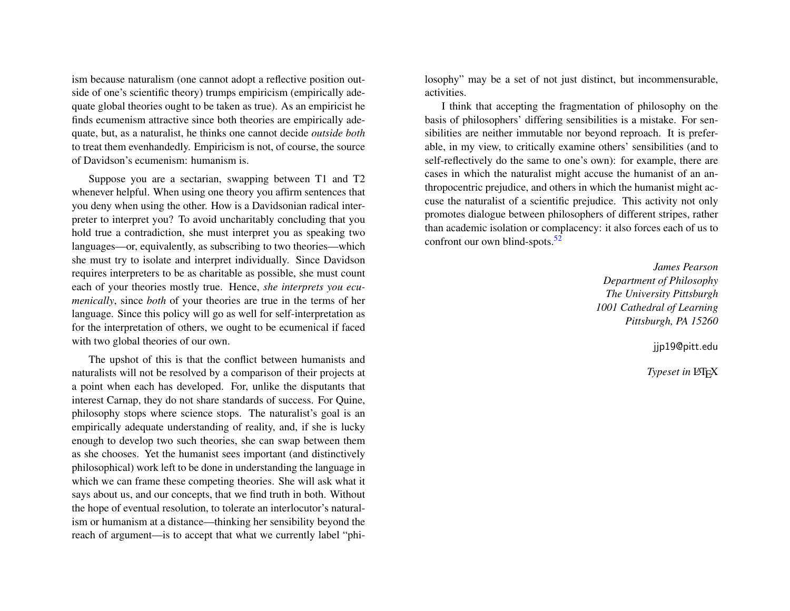ism because naturalism (one cannot adopt a reflective position outside of one's scientific theory) trumps empiricism (empirically adequate global theories ought to be taken as true). As an empiricist he finds ecumenism attractive since both theories are empirically adequate, but, as a naturalist, he thinks one cannot decide *outside both* to treat them evenhandedly. Empiricism is not, of course, the source of Davidson's ecumenism: humanism is.

Suppose you are a sectarian, swapping between T1 and T2 whenever helpful. When using one theory you affirm sentences that you deny when using the other. How is a Davidsonian radical interpreter to interpret you? To avoid uncharitably concluding that you hold true a contradiction, she must interpret you as speaking two languages—or, equivalently, as subscribing to two theories—which she must try to isolate and interpret individually. Since Davidson requires interpreters to be as charitable as possible, she must count each of your theories mostly true. Hence, *she interprets you ecumenically*, since *both* of your theories are true in the terms of her language. Since this policy will go as well for self-interpretation as for the interpretation of others, we ought to be ecumenical if faced with two global theories of our own.

The upshot of this is that the conflict between humanists and naturalists will not be resolved by a comparison of their projects at a point when each has developed. For, unlike the disputants that interest Carnap, they do not share standards of success. For Quine, philosophy stops where science stops. The naturalist's goal is an empirically adequate understanding of reality, and, if she is lucky enough to develop two such theories, she can swap between them as she chooses. Yet the humanist sees important (and distinctively philosophical) work left to be done in understanding the language in which we can frame these competing theories. She will ask what it says about us, and our concepts, that we find truth in both. Without the hope of eventual resolution, to tolerate an interlocutor's naturalism or humanism at a distance—thinking her sensibility beyond the reach of argument—is to accept that what we currently label "philosophy" may be a set of not just distinct, but incommensurable, activities.

I think that accepting the fragmentation of philosophy on the basis of philosophers' differing sensibilities is a mistake. For sensibilities are neither immutable nor beyond reproach. It is preferable, in my view, to critically examine others' sensibilities (and to self-reflectively do the same to one's own): for example, there are cases in which the naturalist might accuse the humanist of an anthropocentric prejudice, and others in which the humanist might accuse the naturalist of a scientific prejudice. This activity not only promotes dialogue between philosophers of different stripes, rather than academic isolation or complacency: it also forces each of us to confront our own blind-spots.<sup>[52](#page-19-2)</sup>

> <span id="page-13-0"></span>*James Pearson Department of Philosophy The University Pittsburgh 1001 Cathedral of Learning Pittsburgh, PA 15260*

> > jjp19@pitt.edu

**Typeset in LATEX**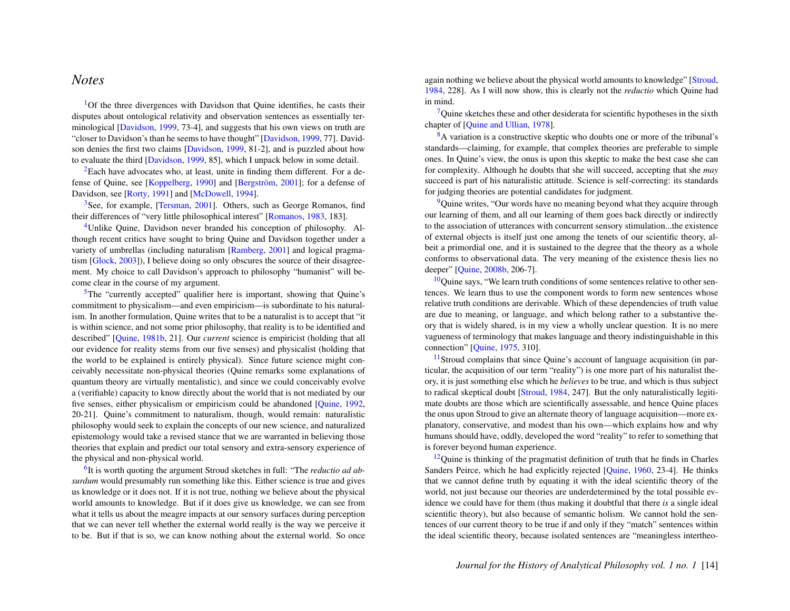#### *Notes*

<span id="page-14-0"></span><sup>[1](#page-1-0)</sup>Of the three divergences with Davidson that Quine identifies, he casts their disputes about ontological relativity and observation sentences as essentially terminological [\[Davidson,](#page-20-0) [1999,](#page-20-0) 73-4], and suggests that his own views on truth are "closer to Davidson's than he seems to have thought" [\[Davidson,](#page-20-0) [1999,](#page-20-0) 77]. Davidson denies the first two claims [\[Davidson,](#page-20-0) [1999,](#page-20-0) 81-2], and is puzzled about how to evaluate the third [\[Davidson,](#page-20-0) [1999,](#page-20-0) 85], which I unpack below in some detail.

<span id="page-14-1"></span> ${}^{2}$  ${}^{2}$  ${}^{2}$ Each have advocates who, at least, unite in finding them different. For a de-fense of Quine, see [\[Koppelberg,](#page-20-8) [1990\]](#page-20-8) and [Bergström, [2001\]](#page-20-9); for a defense of Davidson, see [\[Rorty,](#page-21-11) [1991\]](#page-21-11) and [\[McDowell,](#page-21-12) [1994\]](#page-21-12).

<span id="page-14-2"></span> $3$ See, for example, [\[Tersman,](#page-22-0) [2001\]](#page-22-0). Others, such as George Romanos, find their differences of "very little philosophical interest" [\[Romanos,](#page-21-13) [1983,](#page-21-13) 183].

<span id="page-14-3"></span><sup>[4](#page-1-3)</sup>Unlike Quine, Davidson never branded his conception of philosophy. Although recent critics have sought to bring Quine and Davidson together under a variety of umbrellas (including naturalism [\[Ramberg,](#page-21-14) [2001\]](#page-21-14) and logical pragmatism [\[Glock,](#page-20-10) [2003\]](#page-20-10)), I believe doing so only obscures the source of their disagreement. My choice to call Davidson's approach to philosophy "humanist" will become clear in the course of my argument.

<span id="page-14-4"></span> $5$ The "currently accepted" qualifier here is important, showing that Quine's commitment to physicalism—and even empiricism—is subordinate to his naturalism. In another formulation, Quine writes that to be a naturalist is to accept that "it is within science, and not some prior philosophy, that reality is to be identified and described" [\[Quine,](#page-21-4) [1981b,](#page-21-4) 21]. Our *current* science is empiricist (holding that all our evidence for reality stems from our five senses) and physicalist (holding that the world to be explained is entirely physical). Since future science might conceivably necessitate non-physical theories (Quine remarks some explanations of quantum theory are virtually mentalistic), and since we could conceivably evolve a (verifiable) capacity to know directly about the world that is not mediated by our five senses, either physicalism or empiricism could be abandoned [\[Quine,](#page-21-8) [1992,](#page-21-8) 20-21]. Quine's commitment to naturalism, though, would remain: naturalistic philosophy would seek to explain the concepts of our new science, and naturalized epistemology would take a revised stance that we are warranted in believing those theories that explain and predict our total sensory and extra-sensory experience of the physical and non-physical world.

<span id="page-14-5"></span>[6](#page-2-1) It is worth quoting the argument Stroud sketches in full: "The *reductio ad absurdum* would presumably run something like this. Either science is true and gives us knowledge or it does not. If it is not true, nothing we believe about the physical world amounts to knowledge. But if it does give us knowledge, we can see from what it tells us about the meagre impacts at our sensory surfaces during perception that we can never tell whether the external world really is the way we perceive it to be. But if that is so, we can know nothing about the external world. So once

again nothing we believe about the physical world amounts to knowledge" [\[Stroud,](#page-21-15) [1984,](#page-21-15) 228]. As I will now show, this is clearly not the *reductio* which Quine had in mind.

<span id="page-14-6"></span> $7$ Quine sketches these and other desiderata for scientific hypotheses in the sixth chapter of [\[Quine and Ullian,](#page-21-16) [1978\]](#page-21-16).

<span id="page-14-7"></span>[8](#page-3-0)A variation is a constructive skeptic who doubts one or more of the tribunal's standards—claiming, for example, that complex theories are preferable to simple ones. In Quine's view, the onus is upon this skeptic to make the best case she can for complexity. Although he doubts that she will succeed, accepting that she *may* succeed is part of his naturalistic attitude. Science is self-correcting: its standards for judging theories are potential candidates for judgment.

<span id="page-14-8"></span><sup>[9](#page-3-1)</sup>Quine writes, "Our words have no meaning beyond what they acquire through our learning of them, and all our learning of them goes back directly or indirectly to the association of utterances with concurrent sensory stimulation...the existence of external objects is itself just one among the tenets of our scientific theory, albeit a primordial one, and it is sustained to the degree that the theory as a whole conforms to observational data. The very meaning of the existence thesis lies no deeper" [\[Quine,](#page-21-2) [2008b,](#page-21-2) 206-7].

<span id="page-14-9"></span> $10$ Quine says, "We learn truth conditions of some sentences relative to other sentences. We learn thus to use the component words to form new sentences whose relative truth conditions are derivable. Which of these dependencies of truth value are due to meaning, or language, and which belong rather to a substantive theory that is widely shared, is in my view a wholly unclear question. It is no mere vagueness of terminology that makes language and theory indistinguishable in this connection" [\[Quine,](#page-21-17) [1975,](#page-21-17) 310].

<span id="page-14-10"></span><sup>[11](#page-3-3)</sup>Stroud complains that since Quine's account of language acquisition (in particular, the acquisition of our term "reality") is one more part of his naturalist theory, it is just something else which he *believes* to be true, and which is thus subject to radical skeptical doubt [\[Stroud,](#page-21-15) [1984,](#page-21-15) 247]. But the only naturalistically legitimate doubts are those which are scientifically assessable, and hence Quine places the onus upon Stroud to give an alternate theory of language acquisition—more explanatory, conservative, and modest than his own—which explains how and why humans should have, oddly, developed the word "reality" to refer to something that is forever beyond human experience.

<span id="page-14-11"></span> $12$ Quine is thinking of the pragmatist definition of truth that he finds in Charles Sanders Peirce, which he had explicitly rejected [\[Quine,](#page-21-3) [1960,](#page-21-3) 23-4]. He thinks that we cannot define truth by equating it with the ideal scientific theory of the world, not just because our theories are underdetermined by the total possible evidence we could have for them (thus making it doubtful that there *is* a single ideal scientific theory), but also because of semantic holism. We cannot hold the sentences of our current theory to be true if and only if they "match" sentences within the ideal scientific theory, because isolated sentences are "meaningless intertheo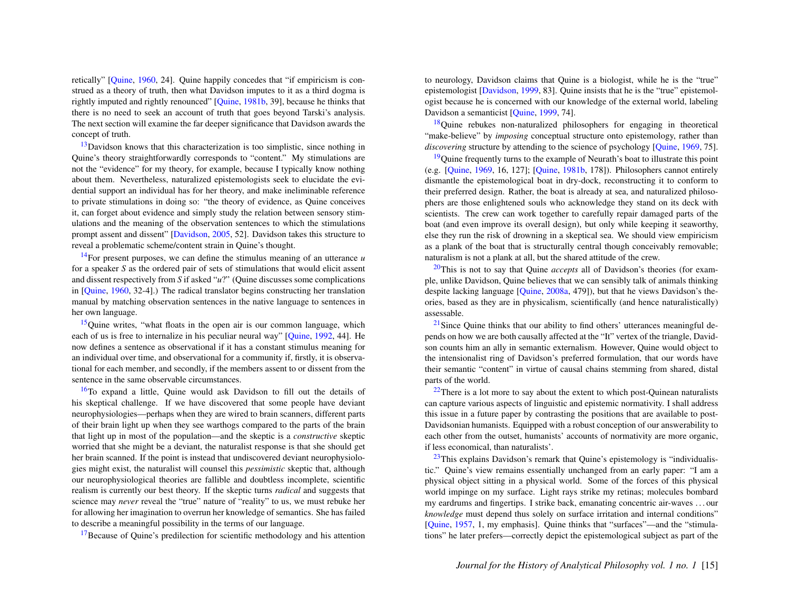retically" [\[Quine,](#page-21-3) [1960,](#page-21-3) 24]. Quine happily concedes that "if empiricism is construed as a theory of truth, then what Davidson imputes to it as a third dogma is rightly imputed and rightly renounced" [\[Quine,](#page-21-4) [1981b,](#page-21-4) 39], because he thinks that there is no need to seek an account of truth that goes beyond Tarski's analysis. The next section will examine the far deeper significance that Davidson awards the concept of truth.

<span id="page-15-0"></span> $13$ Davidson knows that this characterization is too simplistic, since nothing in Quine's theory straightforwardly corresponds to "content." My stimulations are not the "evidence" for my theory, for example, because I typically know nothing about them. Nevertheless, naturalized epistemologists seek to elucidate the evidential support an individual has for her theory, and make ineliminable reference to private stimulations in doing so: "the theory of evidence, as Quine conceives it, can forget about evidence and simply study the relation between sensory stimulations and the meaning of the observation sentences to which the stimulations prompt assent and dissent" [\[Davidson,](#page-20-1) [2005,](#page-20-1) 52]. Davidson takes this structure to reveal a problematic scheme/content strain in Quine's thought.

<span id="page-15-1"></span>[14](#page-4-1)For present purposes, we can define the stimulus meaning of an utterance *u* for a speaker *S* as the ordered pair of sets of stimulations that would elicit assent and dissent respectively from *S* if asked "*u*?" (Quine discusses some complications in [\[Quine,](#page-21-3) [1960,](#page-21-3) 32-4].) The radical translator begins constructing her translation manual by matching observation sentences in the native language to sentences in her own language.

<span id="page-15-2"></span><sup>[15](#page-4-2)</sup>Quine writes, "what floats in the open air is our common language, which each of us is free to internalize in his peculiar neural way" [\[Quine,](#page-21-8) [1992,](#page-21-8) 44]. He now defines a sentence as observational if it has a constant stimulus meaning for an individual over time, and observational for a community if, firstly, it is observational for each member, and secondly, if the members assent to or dissent from the sentence in the same observable circumstances.

<span id="page-15-3"></span>[16](#page-4-3)To expand a little, Quine would ask Davidson to fill out the details of his skeptical challenge. If we have discovered that some people have deviant neurophysiologies—perhaps when they are wired to brain scanners, different parts of their brain light up when they see warthogs compared to the parts of the brain that light up in most of the population—and the skeptic is a *constructive* skeptic worried that she might be a deviant, the naturalist response is that she should get her brain scanned. If the point is instead that undiscovered deviant neurophysiologies might exist, the naturalist will counsel this *pessimistic* skeptic that, although our neurophysiological theories are fallible and doubtless incomplete, scientific realism is currently our best theory. If the skeptic turns *radical* and suggests that science may *never* reveal the "true" nature of "reality" to us, we must rebuke her for allowing her imagination to overrun her knowledge of semantics. She has failed to describe a meaningful possibility in the terms of our language.

<span id="page-15-4"></span> $17$ Because of Quine's predilection for scientific methodology and his attention

to neurology, Davidson claims that Quine is a biologist, while he is the "true" epistemologist [\[Davidson,](#page-20-0) [1999,](#page-20-0) 83]. Quine insists that he is the "true" epistemologist because he is concerned with our knowledge of the external world, labeling Davidson a semanticist [Ouine, [1999,](#page-21-9) 74].

<span id="page-15-5"></span><sup>[18](#page-5-1)</sup>Quine rebukes non-naturalized philosophers for engaging in theoretical "make-believe" by *imposing* conceptual structure onto epistemology, rather than *discovering* structure by attending to the science of psychology [\[Quine,](#page-21-6) [1969,](#page-21-6) 75].

<span id="page-15-6"></span> $19$ Quine frequently turns to the example of Neurath's boat to illustrate this point (e.g. [\[Quine,](#page-21-6) [1969,](#page-21-6) 16, 127]; [\[Quine,](#page-21-4) [1981b,](#page-21-4) 178]). Philosophers cannot entirely dismantle the epistemological boat in dry-dock, reconstructing it to conform to their preferred design. Rather, the boat is already at sea, and naturalized philosophers are those enlightened souls who acknowledge they stand on its deck with scientists. The crew can work together to carefully repair damaged parts of the boat (and even improve its overall design), but only while keeping it seaworthy, else they run the risk of drowning in a skeptical sea. We should view empiricism as a plank of the boat that is structurally central though conceivably removable; naturalism is not a plank at all, but the shared attitude of the crew.

<span id="page-15-7"></span>[20](#page-5-3)This is not to say that Quine *accepts* all of Davidson's theories (for example, unlike Davidson, Quine believes that we can sensibly talk of animals thinking despite lacking language [\[Quine,](#page-21-0) [2008a,](#page-21-0) 479]), but that he views Davidson's theories, based as they are in physicalism, scientifically (and hence naturalistically) assessable.

<span id="page-15-8"></span> $21$ Since Quine thinks that our ability to find others' utterances meaningful depends on how we are both causally affected at the "It" vertex of the triangle, Davidson counts him an ally in semantic externalism. However, Quine would object to the intensionalist ring of Davidson's preferred formulation, that our words have their semantic "content" in virtue of causal chains stemming from shared, distal parts of the world.

<span id="page-15-9"></span> $22$ There is a lot more to say about the extent to which post-Quinean naturalists can capture various aspects of linguistic and epistemic normativity. I shall address this issue in a future paper by contrasting the positions that are available to post-Davidsonian humanists. Equipped with a robust conception of our answerability to each other from the outset, humanists' accounts of normativity are more organic, if less economical, than naturalists'.

<span id="page-15-10"></span> $23$ This explains Davidson's remark that Quine's epistemology is "individualistic." Quine's view remains essentially unchanged from an early paper: "I am a physical object sitting in a physical world. Some of the forces of this physical world impinge on my surface. Light rays strike my retinas; molecules bombard my eardrums and fingertips. I strike back, emanating concentric air-waves . . . our *knowledge* must depend thus solely on surface irritation and internal conditions" [\[Quine,](#page-21-18) [1957,](#page-21-18) 1, my emphasis]. Quine thinks that "surfaces"—and the "stimulations" he later prefers—correctly depict the epistemological subject as part of the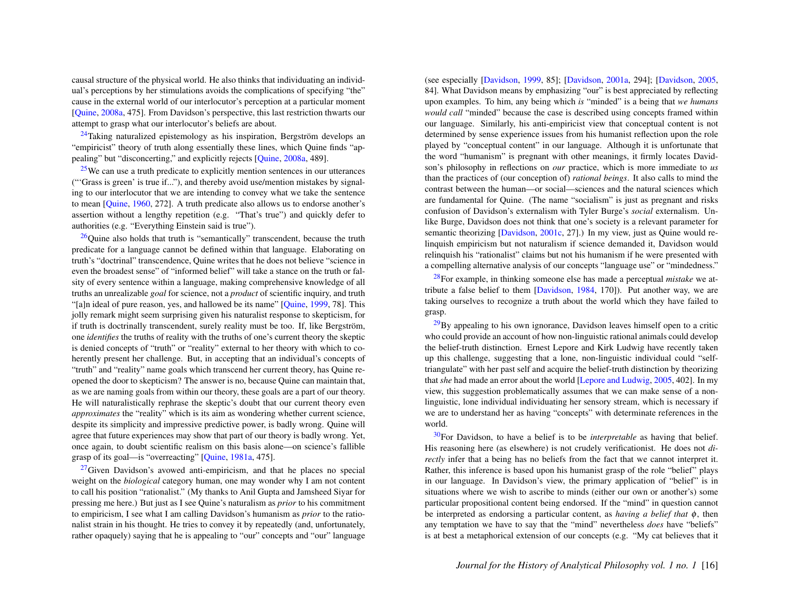causal structure of the physical world. He also thinks that individuating an individual's perceptions by her stimulations avoids the complications of specifying "the" cause in the external world of our interlocutor's perception at a particular moment [\[Quine,](#page-21-0) [2008a,](#page-21-0) 475]. From Davidson's perspective, this last restriction thwarts our attempt to grasp what our interlocutor's beliefs are about.

<span id="page-16-0"></span> $^{24}$  $^{24}$  $^{24}$ Taking naturalized epistemology as his inspiration, Bergström develops an "empiricist" theory of truth along essentially these lines, which Quine finds "appealing" but "disconcerting," and explicitly rejects [\[Quine,](#page-21-0) [2008a,](#page-21-0) 489].

<span id="page-16-1"></span> $25$ We can use a truth predicate to explicitly mention sentences in our utterances ("'Grass is green' is true if..."), and thereby avoid use/mention mistakes by signaling to our interlocutor that we are intending to convey what we take the sentence to mean [\[Quine,](#page-21-3) [1960,](#page-21-3) 272]. A truth predicate also allows us to endorse another's assertion without a lengthy repetition (e.g. "That's true") and quickly defer to authorities (e.g. "Everything Einstein said is true").

<span id="page-16-2"></span> $^{26}$  $^{26}$  $^{26}$ Quine also holds that truth is "semantically" transcendent, because the truth predicate for a language cannot be defined within that language. Elaborating on truth's "doctrinal" transcendence, Quine writes that he does not believe "science in even the broadest sense" of "informed belief" will take a stance on the truth or falsity of every sentence within a language, making comprehensive knowledge of all truths an unrealizable *goal* for science, not a *product* of scientific inquiry, and truth "[a]n ideal of pure reason, yes, and hallowed be its name" [\[Quine,](#page-21-9) [1999,](#page-21-9) 78]. This jolly remark might seem surprising given his naturalist response to skepticism, for if truth is doctrinally transcendent, surely reality must be too. If, like Bergström, one *identifies* the truths of reality with the truths of one's current theory the skeptic is denied concepts of "truth" or "reality" external to her theory with which to coherently present her challenge. But, in accepting that an individual's concepts of "truth" and "reality" name goals which transcend her current theory, has Quine reopened the door to skepticism? The answer is no, because Quine can maintain that, as we are naming goals from within our theory, these goals are a part of our theory. He will naturalistically rephrase the skeptic's doubt that our current theory even *approximates* the "reality" which is its aim as wondering whether current science, despite its simplicity and impressive predictive power, is badly wrong. Quine will agree that future experiences may show that part of our theory is badly wrong. Yet, once again, to doubt scientific realism on this basis alone—on science's fallible grasp of its goal—is "overreacting" [\[Quine,](#page-21-1) [1981a,](#page-21-1) 475].

<span id="page-16-3"></span> $27$ Given Davidson's avowed anti-empiricism, and that he places no special weight on the *biological* category human, one may wonder why I am not content to call his position "rationalist." (My thanks to Anil Gupta and Jamsheed Siyar for pressing me here.) But just as I see Quine's naturalism as *prior* to his commitment to empiricism, I see what I am calling Davidson's humanism as *prior* to the rationalist strain in his thought. He tries to convey it by repeatedly (and, unfortunately, rather opaquely) saying that he is appealing to "our" concepts and "our" language (see especially [\[Davidson,](#page-20-0) [1999,](#page-20-0) 85]; [\[Davidson,](#page-20-3) [2001a,](#page-20-3) 294]; [\[Davidson,](#page-20-1) [2005,](#page-20-1) 84]. What Davidson means by emphasizing "our" is best appreciated by reflecting upon examples. To him, any being which *is* "minded" is a being that *we humans would call* "minded" because the case is described using concepts framed within our language. Similarly, his anti-empiricist view that conceptual content is not determined by sense experience issues from his humanist reflection upon the role played by "conceptual content" in our language. Although it is unfortunate that the word "humanism" is pregnant with other meanings, it firmly locates Davidson's philosophy in reflections on *our* practice, which is more immediate to *us* than the practices of (our conception of) *rational beings*. It also calls to mind the contrast between the human—or social—sciences and the natural sciences which are fundamental for Quine. (The name "socialism" is just as pregnant and risks confusion of Davidson's externalism with Tyler Burge's *social* externalism. Unlike Burge, Davidson does not think that one's society is a relevant parameter for semantic theorizing [\[Davidson,](#page-20-6) [2001c,](#page-20-6) 27].) In my view, just as Quine would relinquish empiricism but not naturalism if science demanded it, Davidson would relinquish his "rationalist" claims but not his humanism if he were presented with a compelling alternative analysis of our concepts "language use" or "mindedness."

<span id="page-16-4"></span>[28](#page-7-3)For example, in thinking someone else has made a perceptual *mistake* we attribute a false belief to them [\[Davidson,](#page-20-2) [1984,](#page-20-2) 170]). Put another way, we are taking ourselves to recognize a truth about the world which they have failed to grasp.

<span id="page-16-5"></span> $^{29}$  $^{29}$  $^{29}$ By appealing to his own ignorance, Davidson leaves himself open to a critic who could provide an account of how non-linguistic rational animals could develop the belief-truth distinction. Ernest Lepore and Kirk Ludwig have recently taken up this challenge, suggesting that a lone, non-linguistic individual could "selftriangulate" with her past self and acquire the belief-truth distinction by theorizing that *she* had made an error about the world [\[Lepore and Ludwig,](#page-20-11) [2005,](#page-20-11) 402]. In my view, this suggestion problematically assumes that we can make sense of a nonlinguistic, lone individual individuating her sensory stream, which is necessary if we are to understand her as having "concepts" with determinate references in the world.

<span id="page-16-6"></span>[30](#page-7-5)For Davidson, to have a belief is to be *interpretable* as having that belief. His reasoning here (as elsewhere) is not crudely verificationist. He does not *directly* infer that a being has no beliefs from the fact that we cannot interpret it. Rather, this inference is based upon his humanist grasp of the role "belief" plays in our language. In Davidson's view, the primary application of "belief" is in situations where we wish to ascribe to minds (either our own or another's) some particular propositional content being endorsed. If the "mind" in question cannot be interpreted as endorsing a particular content, as *having a belief that* φ, then any temptation we have to say that the "mind" nevertheless *does* have "beliefs" is at best a metaphorical extension of our concepts (e.g. "My cat believes that it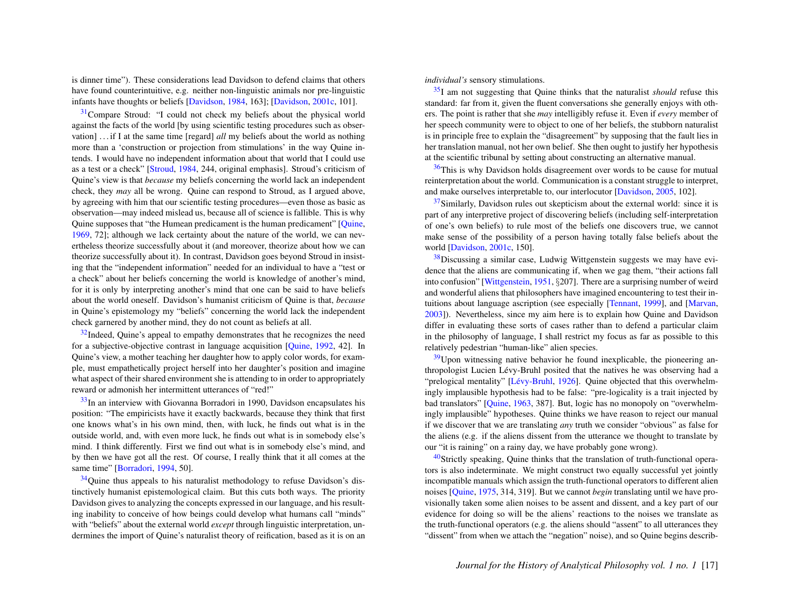is dinner time"). These considerations lead Davidson to defend claims that others have found counterintuitive, e.g. neither non-linguistic animals nor pre-linguistic infants have thoughts or beliefs [\[Davidson,](#page-20-2) [1984,](#page-20-2) 163]; [\[Davidson,](#page-20-6) [2001c,](#page-20-6) 101].

<span id="page-17-0"></span><sup>[31](#page-7-6)</sup>Compare Stroud: "I could not check my beliefs about the physical world against the facts of the world [by using scientific testing procedures such as observation] . . . if I at the same time [regard] *all* my beliefs about the world as nothing more than a 'construction or projection from stimulations' in the way Quine intends. I would have no independent information about that world that I could use as a test or a check" [\[Stroud,](#page-21-15) [1984,](#page-21-15) 244, original emphasis]. Stroud's criticism of Quine's view is that *because* my beliefs concerning the world lack an independent check, they *may* all be wrong. Quine can respond to Stroud, as I argued above, by agreeing with him that our scientific testing procedures—even those as basic as observation—may indeed mislead us, because all of science is fallible. This is why Quine supposes that "the Humean predicament is the human predicament" [\[Quine,](#page-21-6) [1969,](#page-21-6) 72]; although we lack certainty about the nature of the world, we can nevertheless theorize successfully about it (and moreover, theorize about how we can theorize successfully about it). In contrast, Davidson goes beyond Stroud in insisting that the "independent information" needed for an individual to have a "test or a check" about her beliefs concerning the world is knowledge of another's mind, for it is only by interpreting another's mind that one can be said to have beliefs about the world oneself. Davidson's humanist criticism of Quine is that, *because* in Quine's epistemology my "beliefs" concerning the world lack the independent check garnered by another mind, they do not count as beliefs at all.

<span id="page-17-1"></span> $32$ Indeed. Ouine's appeal to empathy demonstrates that he recognizes the need for a subjective-objective contrast in language acquisition [\[Quine,](#page-21-8) [1992,](#page-21-8) 42]. In Quine's view, a mother teaching her daughter how to apply color words, for example, must empathetically project herself into her daughter's position and imagine what aspect of their shared environment she is attending to in order to appropriately reward or admonish her intermittent utterances of "red!"

<span id="page-17-2"></span> $33$ In an interview with Giovanna Borradori in 1990, Davidson encapsulates his position: "The empiricists have it exactly backwards, because they think that first one knows what's in his own mind, then, with luck, he finds out what is in the outside world, and, with even more luck, he finds out what is in somebody else's mind. I think differently. First we find out what is in somebody else's mind, and by then we have got all the rest. Of course, I really think that it all comes at the same time" [\[Borradori,](#page-20-12) [1994,](#page-20-12) 50].

<span id="page-17-3"></span><sup>[34](#page-7-9)</sup>Quine thus appeals to his naturalist methodology to refuse Davidson's distinctively humanist epistemological claim. But this cuts both ways. The priority Davidson gives to analyzing the concepts expressed in our language, and his resulting inability to conceive of how beings could develop what humans call "minds" with "beliefs" about the external world *except* through linguistic interpretation, undermines the import of Quine's naturalist theory of reification, based as it is on an *individual's* sensory stimulations.

<span id="page-17-4"></span>[35](#page-8-0)I am not suggesting that Quine thinks that the naturalist *should* refuse this standard: far from it, given the fluent conversations she generally enjoys with others. The point is rather that she *may* intelligibly refuse it. Even if *every* member of her speech community were to object to one of her beliefs, the stubborn naturalist is in principle free to explain the "disagreement" by supposing that the fault lies in her translation manual, not her own belief. She then ought to justify her hypothesis at the scientific tribunal by setting about constructing an alternative manual.

<span id="page-17-5"></span> $36$ This is why Davidson holds disagreement over words to be cause for mutual reinterpretation about the world. Communication is a constant struggle to interpret, and make ourselves interpretable to, our interlocutor [\[Davidson,](#page-20-1) [2005,](#page-20-1) 102].

<span id="page-17-6"></span> $37$ Similarly, Davidson rules out skepticism about the external world: since it is part of any interpretive project of discovering beliefs (including self-interpretation of one's own beliefs) to rule most of the beliefs one discovers true, we cannot make sense of the possibility of a person having totally false beliefs about the world [\[Davidson,](#page-20-6) [2001c,](#page-20-6) 150].

<span id="page-17-7"></span> $38$ Discussing a similar case, Ludwig Wittgenstein suggests we may have evidence that the aliens are communicating if, when we gag them, "their actions fall into confusion" [\[Wittgenstein,](#page-22-1) [1951,](#page-22-1) §207]. There are a surprising number of weird and wonderful aliens that philosophers have imagined encountering to test their intuitions about language ascription (see especially [\[Tennant,](#page-22-2) [1999\]](#page-22-2), and [\[Marvan,](#page-21-19) [2003\]](#page-21-19)). Nevertheless, since my aim here is to explain how Quine and Davidson differ in evaluating these sorts of cases rather than to defend a particular claim in the philosophy of language, I shall restrict my focus as far as possible to this relatively pedestrian "human-like" alien species.

<span id="page-17-8"></span> $39$ Upon witnessing native behavior he found inexplicable, the pioneering anthropologist Lucien Lévy-Bruhl posited that the natives he was observing had a "prelogical mentality" [Lévy-Bruhl, [1926\]](#page-20-13). Quine objected that this overwhelmingly implausible hypothesis had to be false: "pre-logicality is a trait injected by bad translators" [\[Quine,](#page-21-20) [1963,](#page-21-20) 387]. But, logic has no monopoly on "overwhelmingly implausible" hypotheses. Quine thinks we have reason to reject our manual if we discover that we are translating *any* truth we consider "obvious" as false for the aliens (e.g. if the aliens dissent from the utterance we thought to translate by our "it is raining" on a rainy day, we have probably gone wrong).

<span id="page-17-9"></span> $40$ Strictly speaking, Quine thinks that the translation of truth-functional operators is also indeterminate. We might construct two equally successful yet jointly incompatible manuals which assign the truth-functional operators to different alien noises [\[Quine,](#page-21-17) [1975,](#page-21-17) 314, 319]. But we cannot *begin* translating until we have provisionally taken some alien noises to be assent and dissent, and a key part of our evidence for doing so will be the aliens' reactions to the noises we translate as the truth-functional operators (e.g. the aliens should "assent" to all utterances they "dissent" from when we attach the "negation" noise), and so Quine begins describ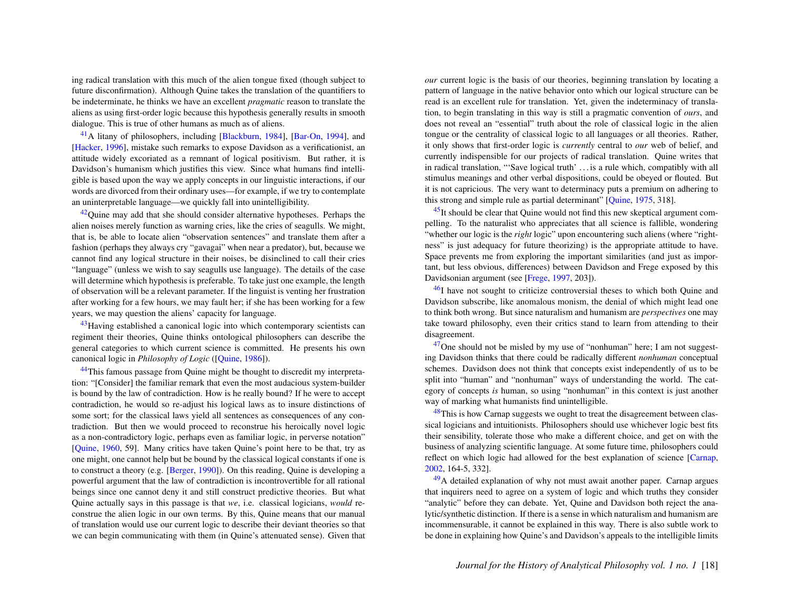ing radical translation with this much of the alien tongue fixed (though subject to future disconfirmation). Although Quine takes the translation of the quantifiers to be indeterminate, he thinks we have an excellent *pragmatic* reason to translate the aliens as using first-order logic because this hypothesis generally results in smooth dialogue. This is true of other humans as much as of aliens.

<span id="page-18-0"></span>[41](#page-9-3)A litany of philosophers, including [\[Blackburn,](#page-20-14) [1984\]](#page-20-14), [\[Bar-On,](#page-20-15) [1994\]](#page-20-15), and [\[Hacker,](#page-20-16) [1996\]](#page-20-16), mistake such remarks to expose Davidson as a verificationist, an attitude widely excoriated as a remnant of logical positivism. But rather, it is Davidson's humanism which justifies this view. Since what humans find intelligible is based upon the way we apply concepts in our linguistic interactions, if our words are divorced from their ordinary uses—for example, if we try to contemplate an uninterpretable language—we quickly fall into unintelligibility.

<span id="page-18-1"></span> $42$ Quine may add that she should consider alternative hypotheses. Perhaps the alien noises merely function as warning cries, like the cries of seagulls. We might, that is, be able to locate alien "observation sentences" and translate them after a fashion (perhaps they always cry "gavagai" when near a predator), but, because we cannot find any logical structure in their noises, be disinclined to call their cries "language" (unless we wish to say seagulls use language). The details of the case will determine which hypothesis is preferable. To take just one example, the length of observation will be a relevant parameter. If the linguist is venting her frustration after working for a few hours, we may fault her; if she has been working for a few years, we may question the aliens' capacity for language.

<span id="page-18-2"></span><sup>[43](#page-10-1)</sup>Having established a canonical logic into which contemporary scientists can regiment their theories, Quine thinks ontological philosophers can describe the general categories to which current science is committed. He presents his own canonical logic in *Philosophy of Logic* ([\[Quine,](#page-21-21) [1986\]](#page-21-21)).

<span id="page-18-3"></span><sup>[44](#page-10-2)</sup>This famous passage from Quine might be thought to discredit my interpretation: "[Consider] the familiar remark that even the most audacious system-builder is bound by the law of contradiction. How is he really bound? If he were to accept contradiction, he would so re-adjust his logical laws as to insure distinctions of some sort; for the classical laws yield all sentences as consequences of any contradiction. But then we would proceed to reconstrue his heroically novel logic as a non-contradictory logic, perhaps even as familiar logic, in perverse notation" [\[Quine,](#page-21-3) [1960,](#page-21-3) 59]. Many critics have taken Quine's point here to be that, try as one might, one cannot help but be bound by the classical logical constants if one is to construct a theory (e.g. [\[Berger,](#page-20-17) [1990\]](#page-20-17)). On this reading, Quine is developing a powerful argument that the law of contradiction is incontrovertible for all rational beings since one cannot deny it and still construct predictive theories. But what Quine actually says in this passage is that *we*, i.e. classical logicians, *would* reconstrue the alien logic in our own terms. By this, Quine means that our manual of translation would use our current logic to describe their deviant theories so that we can begin communicating with them (in Quine's attenuated sense). Given that *our* current logic is the basis of our theories, beginning translation by locating a pattern of language in the native behavior onto which our logical structure can be read is an excellent rule for translation. Yet, given the indeterminacy of translation, to begin translating in this way is still a pragmatic convention of *ours*, and does not reveal an "essential" truth about the role of classical logic in the alien tongue or the centrality of classical logic to all languages or all theories. Rather, it only shows that first-order logic is *currently* central to *our* web of belief, and currently indispensible for our projects of radical translation. Quine writes that in radical translation, "'Save logical truth' . . . is a rule which, compatibly with all stimulus meanings and other verbal dispositions, could be obeyed or flouted. But it is not capricious. The very want to determinacy puts a premium on adhering to this strong and simple rule as partial determinant" [\[Quine,](#page-21-17) [1975,](#page-21-17) 318].

<span id="page-18-4"></span> $45$ It should be clear that Quine would not find this new skeptical argument compelling. To the naturalist who appreciates that all science is fallible, wondering "whether our logic is the *right* logic" upon encountering such aliens (where "rightness" is just adequacy for future theorizing) is the appropriate attitude to have. Space prevents me from exploring the important similarities (and just as important, but less obvious, differences) between Davidson and Frege exposed by this Davidsonian argument (see [\[Frege,](#page-20-18) [1997,](#page-20-18) 203]).

<span id="page-18-5"></span> $^{46}$  $^{46}$  $^{46}$ I have not sought to criticize controversial theses to which both Quine and Davidson subscribe, like anomalous monism, the denial of which might lead one to think both wrong. But since naturalism and humanism are *perspectives* one may take toward philosophy, even their critics stand to learn from attending to their disagreement.

<span id="page-18-6"></span> $47$ One should not be misled by my use of "nonhuman" here; I am not suggesting Davidson thinks that there could be radically different *nonhuman* conceptual schemes. Davidson does not think that concepts exist independently of us to be split into "human" and "nonhuman" ways of understanding the world. The category of concepts *is* human, so using "nonhuman" in this context is just another way of marking what humanists find unintelligible.

<span id="page-18-7"></span> $48$ This is how Carnap suggests we ought to treat the disagreement between classical logicians and intuitionists. Philosophers should use whichever logic best fits their sensibility, tolerate those who make a different choice, and get on with the business of analyzing scientific language. At some future time, philosophers could reflect on which logic had allowed for the best explanation of science [\[Carnap,](#page-20-19) [2002,](#page-20-19) 164-5, 332].

<span id="page-18-8"></span> $^{49}$  $^{49}$  $^{49}$ A detailed explanation of why not must await another paper. Carnap argues that inquirers need to agree on a system of logic and which truths they consider "analytic" before they can debate. Yet, Quine and Davidson both reject the analytic/synthetic distinction. If there is a sense in which naturalism and humanism are incommensurable, it cannot be explained in this way. There is also subtle work to be done in explaining how Quine's and Davidson's appeals to the intelligible limits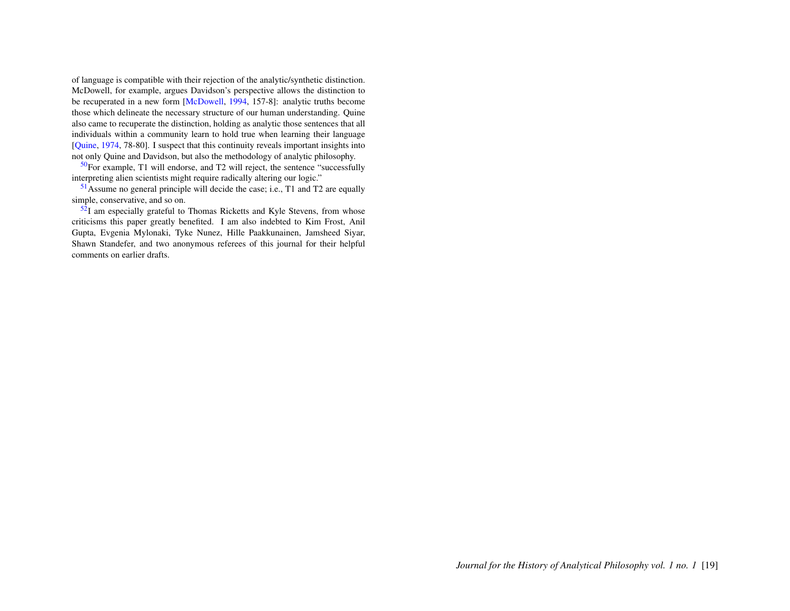of language is compatible with their rejection of the analytic/synthetic distinction. McDowell, for example, argues Davidson's perspective allows the distinction to be recuperated in a new form [\[McDowell,](#page-21-12) [1994,](#page-21-12) 157-8]: analytic truths become those which delineate the necessary structure of our human understanding. Quine also came to recuperate the distinction, holding as analytic those sentences that all individuals within a community learn to hold true when learning their language [\[Quine,](#page-21-22) [1974,](#page-21-22) 78-80]. I suspect that this continuity reveals important insights into not only Quine and Davidson, but also the methodology of analytic philosophy.

<span id="page-19-0"></span> $50F$  $50F$ or example, T1 will endorse, and T2 will reject, the sentence "successfully interpreting alien scientists might require radically altering our logic."

<span id="page-19-1"></span>[51](#page-12-4)Assume no general principle will decide the case; i.e., T1 and T2 are equally simple, conservative, and so on.

<span id="page-19-2"></span> $5\overline{2}I$  am especially grateful to Thomas Ricketts and Kyle Stevens, from whose criticisms this paper greatly benefited. I am also indebted to Kim Frost, Anil Gupta, Evgenia Mylonaki, Tyke Nunez, Hille Paakkunainen, Jamsheed Siyar, Shawn Standefer, and two anonymous referees of this journal for their helpful comments on earlier drafts.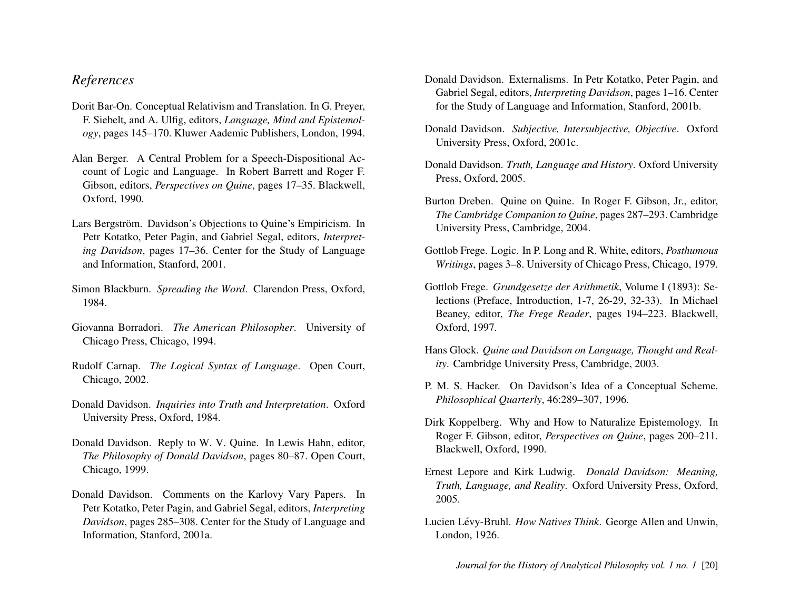## *References*

- <span id="page-20-15"></span>Dorit Bar-On. Conceptual Relativism and Translation. In G. Preyer, F. Siebelt, and A. Ulfig, editors, *Language, Mind and Epistemology*, pages 145–170. Kluwer Aademic Publishers, London, 1994.
- <span id="page-20-17"></span>Alan Berger. A Central Problem for a Speech-Dispositional Account of Logic and Language. In Robert Barrett and Roger F. Gibson, editors, *Perspectives on Quine*, pages 17–35. Blackwell, Oxford, 1990.
- <span id="page-20-9"></span>Lars Bergström. Davidson's Objections to Quine's Empiricism. In Petr Kotatko, Peter Pagin, and Gabriel Segal, editors, *Interpreting Davidson*, pages 17–36. Center for the Study of Language and Information, Stanford, 2001.
- <span id="page-20-14"></span>Simon Blackburn. *Spreading the Word*. Clarendon Press, Oxford, 1984.
- <span id="page-20-12"></span>Giovanna Borradori. *The American Philosopher*. University of Chicago Press, Chicago, 1994.
- <span id="page-20-19"></span>Rudolf Carnap. *The Logical Syntax of Language*. Open Court, Chicago, 2002.
- <span id="page-20-2"></span>Donald Davidson. *Inquiries into Truth and Interpretation*. Oxford University Press, Oxford, 1984.
- <span id="page-20-0"></span>Donald Davidson. Reply to W. V. Quine. In Lewis Hahn, editor, *The Philosophy of Donald Davidson*, pages 80–87. Open Court, Chicago, 1999.
- <span id="page-20-3"></span>Donald Davidson. Comments on the Karlovy Vary Papers. In Petr Kotatko, Peter Pagin, and Gabriel Segal, editors, *Interpreting Davidson*, pages 285–308. Center for the Study of Language and Information, Stanford, 2001a.
- <span id="page-20-4"></span>Donald Davidson. Externalisms. In Petr Kotatko, Peter Pagin, and Gabriel Segal, editors, *Interpreting Davidson*, pages 1–16. Center for the Study of Language and Information, Stanford, 2001b.
- <span id="page-20-6"></span>Donald Davidson. *Subjective, Intersubjective, Objective*. Oxford University Press, Oxford, 2001c.
- <span id="page-20-1"></span>Donald Davidson. *Truth, Language and History*. Oxford University Press, Oxford, 2005.
- <span id="page-20-5"></span>Burton Dreben. Quine on Quine. In Roger F. Gibson, Jr., editor, *The Cambridge Companion to Quine*, pages 287–293. Cambridge University Press, Cambridge, 2004.
- <span id="page-20-7"></span>Gottlob Frege. Logic. In P. Long and R. White, editors, *Posthumous Writings*, pages 3–8. University of Chicago Press, Chicago, 1979.
- <span id="page-20-18"></span>Gottlob Frege. *Grundgesetze der Arithmetik*, Volume I (1893): Selections (Preface, Introduction, 1-7, 26-29, 32-33). In Michael Beaney, editor, *The Frege Reader*, pages 194–223. Blackwell, Oxford, 1997.
- <span id="page-20-10"></span>Hans Glock. *Quine and Davidson on Language, Thought and Reality*. Cambridge University Press, Cambridge, 2003.
- <span id="page-20-16"></span>P. M. S. Hacker. On Davidson's Idea of a Conceptual Scheme. *Philosophical Quarterly*, 46:289–307, 1996.
- <span id="page-20-8"></span>Dirk Koppelberg. Why and How to Naturalize Epistemology. In Roger F. Gibson, editor, *Perspectives on Quine*, pages 200–211. Blackwell, Oxford, 1990.
- <span id="page-20-11"></span>Ernest Lepore and Kirk Ludwig. *Donald Davidson: Meaning, Truth, Language, and Reality*. Oxford University Press, Oxford, 2005.
- <span id="page-20-13"></span>Lucien Lévy-Bruhl. *How Natives Think*. George Allen and Unwin, London, 1926.

*Journal for the History of Analytical Philosophy vol. 1 no. 1* [20]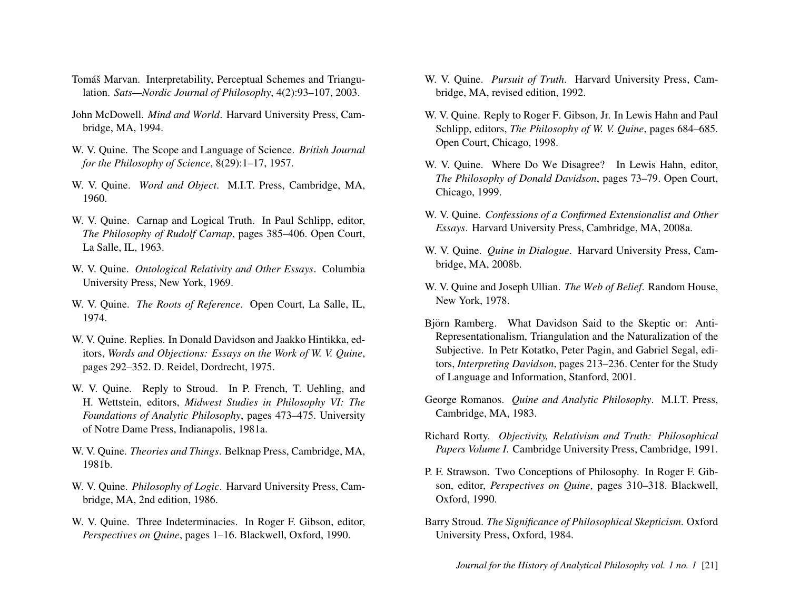- <span id="page-21-19"></span>Tomáš Marvan. Interpretability, Perceptual Schemes and Triangulation. *Sats—Nordic Journal of Philosophy*, 4(2):93–107, 2003.
- <span id="page-21-12"></span>John McDowell. *Mind and World*. Harvard University Press, Cambridge, MA, 1994.
- <span id="page-21-18"></span>W. V. Quine. The Scope and Language of Science. *British Journal for the Philosophy of Science*, 8(29):1–17, 1957.
- <span id="page-21-3"></span>W. V. Quine. *Word and Object*. M.I.T. Press, Cambridge, MA, 1960.
- <span id="page-21-20"></span>W. V. Quine. Carnap and Logical Truth. In Paul Schlipp, editor, *The Philosophy of Rudolf Carnap*, pages 385–406. Open Court, La Salle, IL, 1963.
- <span id="page-21-6"></span>W. V. Quine. *Ontological Relativity and Other Essays*. Columbia University Press, New York, 1969.
- <span id="page-21-22"></span>W. V. Quine. *The Roots of Reference*. Open Court, La Salle, IL, 1974.
- <span id="page-21-17"></span>W. V. Quine. Replies. In Donald Davidson and Jaakko Hintikka, editors, *Words and Objections: Essays on the Work of W. V. Quine*, pages 292–352. D. Reidel, Dordrecht, 1975.
- <span id="page-21-1"></span>W. V. Quine. Reply to Stroud. In P. French, T. Uehling, and H. Wettstein, editors, *Midwest Studies in Philosophy VI: The Foundations of Analytic Philosophy*, pages 473–475. University of Notre Dame Press, Indianapolis, 1981a.
- <span id="page-21-4"></span>W. V. Quine. *Theories and Things*. Belknap Press, Cambridge, MA, 1981b.
- <span id="page-21-21"></span>W. V. Quine. *Philosophy of Logic*. Harvard University Press, Cambridge, MA, 2nd edition, 1986.
- <span id="page-21-5"></span>W. V. Quine. Three Indeterminacies. In Roger F. Gibson, editor, *Perspectives on Quine*, pages 1–16. Blackwell, Oxford, 1990.
- <span id="page-21-8"></span>W. V. Quine. *Pursuit of Truth*. Harvard University Press, Cambridge, MA, revised edition, 1992.
- <span id="page-21-7"></span>W. V. Quine. Reply to Roger F. Gibson, Jr. In Lewis Hahn and Paul Schlipp, editors, *The Philosophy of W. V. Quine*, pages 684–685. Open Court, Chicago, 1998.
- <span id="page-21-9"></span>W. V. Quine. Where Do We Disagree? In Lewis Hahn, editor, *The Philosophy of Donald Davidson*, pages 73–79. Open Court, Chicago, 1999.
- <span id="page-21-0"></span>W. V. Quine. *Confessions of a Confirmed Extensionalist and Other Essays*. Harvard University Press, Cambridge, MA, 2008a.
- <span id="page-21-2"></span>W. V. Quine. *Quine in Dialogue*. Harvard University Press, Cambridge, MA, 2008b.
- <span id="page-21-16"></span>W. V. Quine and Joseph Ullian. *The Web of Belief*. Random House, New York, 1978.
- <span id="page-21-14"></span>Björn Ramberg. What Davidson Said to the Skeptic or: Anti-Representationalism, Triangulation and the Naturalization of the Subjective. In Petr Kotatko, Peter Pagin, and Gabriel Segal, editors, *Interpreting Davidson*, pages 213–236. Center for the Study of Language and Information, Stanford, 2001.
- <span id="page-21-13"></span>George Romanos. *Quine and Analytic Philosophy*. M.I.T. Press, Cambridge, MA, 1983.
- <span id="page-21-11"></span>Richard Rorty. *Objectivity, Relativism and Truth: Philosophical Papers Volume I*. Cambridge University Press, Cambridge, 1991.
- <span id="page-21-10"></span>P. F. Strawson. Two Conceptions of Philosophy. In Roger F. Gibson, editor, *Perspectives on Quine*, pages 310–318. Blackwell, Oxford, 1990.
- <span id="page-21-15"></span>Barry Stroud. *The Significance of Philosophical Skepticism*. Oxford University Press, Oxford, 1984.

*Journal for the History of Analytical Philosophy vol. 1 no. 1* [21]